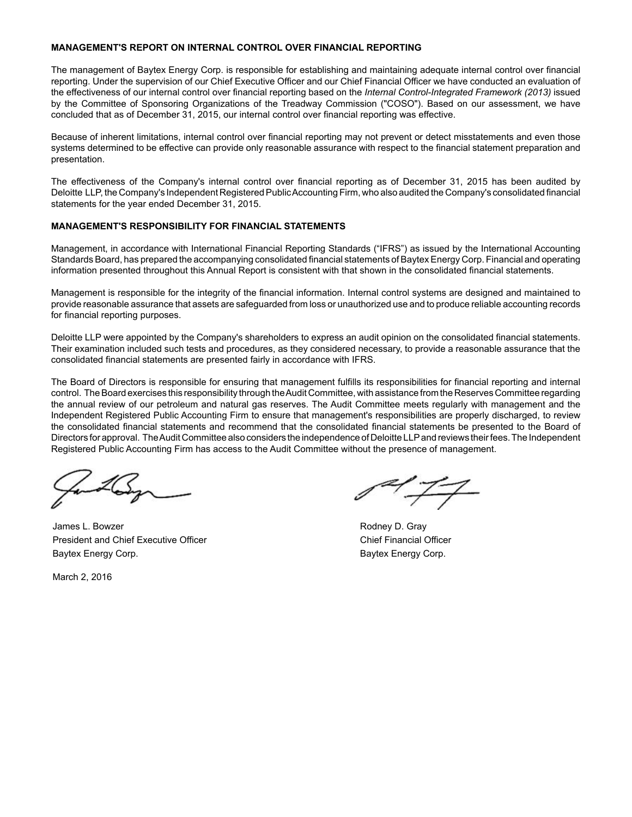### **MANAGEMENT'S REPORT ON INTERNAL CONTROL OVER FINANCIAL REPORTING**

The management of Baytex Energy Corp. is responsible for establishing and maintaining adequate internal control over financial reporting. Under the supervision of our Chief Executive Officer and our Chief Financial Officer we have conducted an evaluation of the effectiveness of our internal control over financial reporting based on the *Internal Control-Integrated Framework (2013)* issued by the Committee of Sponsoring Organizations of the Treadway Commission ("COSO"). Based on our assessment, we have concluded that as of December 31, 2015, our internal control over financial reporting was effective.

Because of inherent limitations, internal control over financial reporting may not prevent or detect misstatements and even those systems determined to be effective can provide only reasonable assurance with respect to the financial statement preparation and presentation.

The effectiveness of the Company's internal control over financial reporting as of December 31, 2015 has been audited by Deloitte LLP, the Company's Independent Registered Public Accounting Firm, who also audited the Company's consolidated financial statements for the year ended December 31, 2015.

### **MANAGEMENT'S RESPONSIBILITY FOR FINANCIAL STATEMENTS**

Management, in accordance with International Financial Reporting Standards ("IFRS") as issued by the International Accounting Standards Board, has prepared the accompanying consolidated financial statements of Baytex Energy Corp. Financial and operating information presented throughout this Annual Report is consistent with that shown in the consolidated financial statements.

Management is responsible for the integrity of the financial information. Internal control systems are designed and maintained to provide reasonable assurance that assets are safeguarded from loss or unauthorized use and to produce reliable accounting records for financial reporting purposes.

Deloitte LLP were appointed by the Company's shareholders to express an audit opinion on the consolidated financial statements. Their examination included such tests and procedures, as they considered necessary, to provide a reasonable assurance that the consolidated financial statements are presented fairly in accordance with IFRS.

The Board of Directors is responsible for ensuring that management fulfills its responsibilities for financial reporting and internal control. The Board exercises this responsibility through the Audit Committee, with assistance from the Reserves Committee regarding the annual review of our petroleum and natural gas reserves. The Audit Committee meets regularly with management and the Independent Registered Public Accounting Firm to ensure that management's responsibilities are properly discharged, to review the consolidated financial statements and recommend that the consolidated financial statements be presented to the Board of Directors for approval. The Audit Committee also considers the independence of Deloitte LLP and reviews their fees. The Independent Registered Public Accounting Firm has access to the Audit Committee without the presence of management.

James L. Bowzer **New York Construction** Construction Construction Construction Construction Construction Construction Construction Construction Construction Construction Construction Construction Construction Construction President and Chief Executive Officer Chief Financial Officer Chief Financial Officer Baytex Energy Corp. Baytex Energy Corp.

March 2, 2016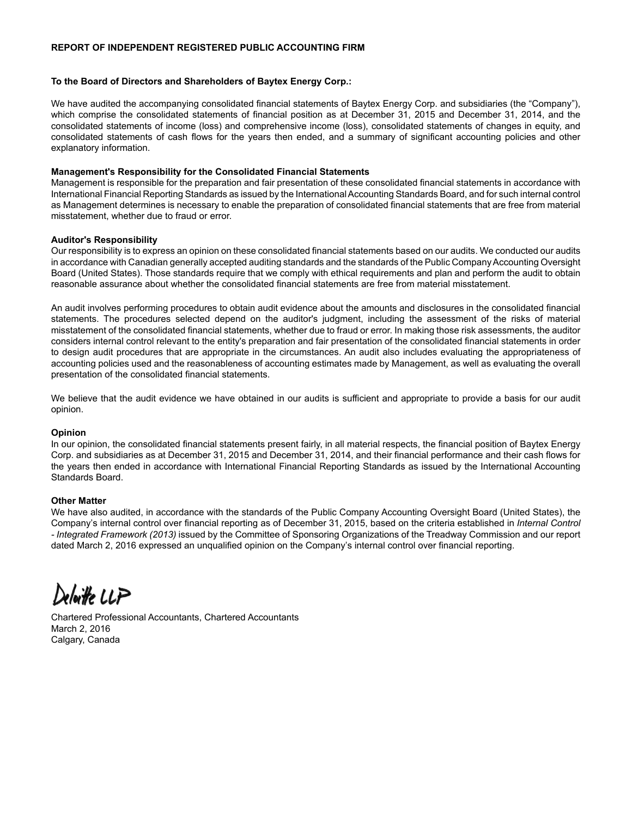### **REPORT OF INDEPENDENT REGISTERED PUBLIC ACCOUNTING FIRM**

### **To the Board of Directors and Shareholders of Baytex Energy Corp.:**

We have audited the accompanying consolidated financial statements of Baytex Energy Corp. and subsidiaries (the "Company"), which comprise the consolidated statements of financial position as at December 31, 2015 and December 31, 2014, and the consolidated statements of income (loss) and comprehensive income (loss), consolidated statements of changes in equity, and consolidated statements of cash flows for the years then ended, and a summary of significant accounting policies and other explanatory information.

#### **Management's Responsibility for the Consolidated Financial Statements**

Management is responsible for the preparation and fair presentation of these consolidated financial statements in accordance with International Financial Reporting Standards as issued by the International Accounting Standards Board, and for such internal control as Management determines is necessary to enable the preparation of consolidated financial statements that are free from material misstatement, whether due to fraud or error.

#### **Auditor's Responsibility**

Our responsibility is to express an opinion on these consolidated financial statements based on our audits. We conducted our audits in accordance with Canadian generally accepted auditing standards and the standards of the Public Company Accounting Oversight Board (United States). Those standards require that we comply with ethical requirements and plan and perform the audit to obtain reasonable assurance about whether the consolidated financial statements are free from material misstatement.

An audit involves performing procedures to obtain audit evidence about the amounts and disclosures in the consolidated financial statements. The procedures selected depend on the auditor's judgment, including the assessment of the risks of material misstatement of the consolidated financial statements, whether due to fraud or error. In making those risk assessments, the auditor considers internal control relevant to the entity's preparation and fair presentation of the consolidated financial statements in order to design audit procedures that are appropriate in the circumstances. An audit also includes evaluating the appropriateness of accounting policies used and the reasonableness of accounting estimates made by Management, as well as evaluating the overall presentation of the consolidated financial statements.

We believe that the audit evidence we have obtained in our audits is sufficient and appropriate to provide a basis for our audit opinion.

#### **Opinion**

In our opinion, the consolidated financial statements present fairly, in all material respects, the financial position of Baytex Energy Corp. and subsidiaries as at December 31, 2015 and December 31, 2014, and their financial performance and their cash flows for the years then ended in accordance with International Financial Reporting Standards as issued by the International Accounting Standards Board.

### **Other Matter**

We have also audited, in accordance with the standards of the Public Company Accounting Oversight Board (United States), the Company's internal control over financial reporting as of December 31, 2015, based on the criteria established in *Internal Control - Integrated Framework (2013)* issued by the Committee of Sponsoring Organizations of the Treadway Commission and our report dated March 2, 2016 expressed an unqualified opinion on the Company's internal control over financial reporting.

Delaitte LLP

Chartered Professional Accountants, Chartered Accountants March 2, 2016 Calgary, Canada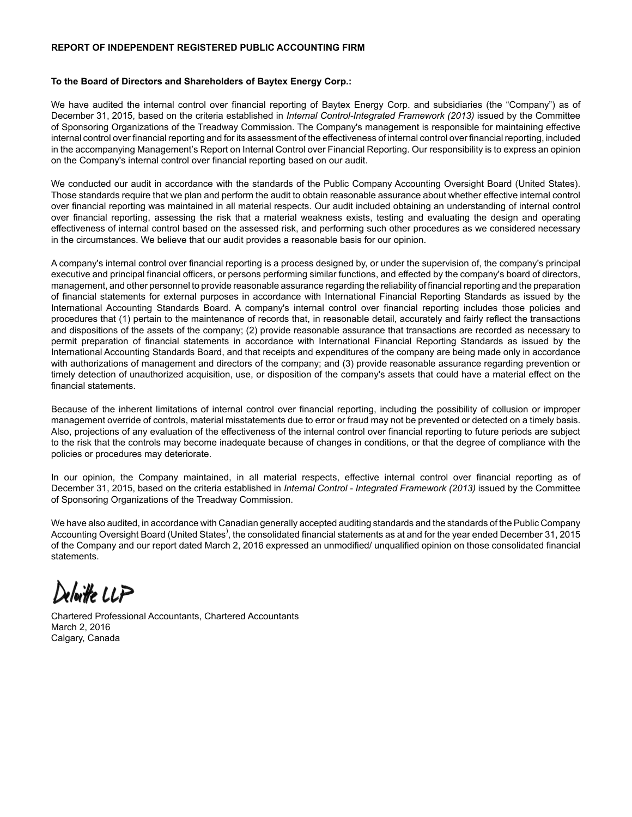### **REPORT OF INDEPENDENT REGISTERED PUBLIC ACCOUNTING FIRM**

### **To the Board of Directors and Shareholders of Baytex Energy Corp.:**

We have audited the internal control over financial reporting of Baytex Energy Corp. and subsidiaries (the "Company") as of December 31, 2015, based on the criteria established in *Internal Control-Integrated Framework (2013)* issued by the Committee of Sponsoring Organizations of the Treadway Commission. The Company's management is responsible for maintaining effective internal control over financial reporting and for its assessment of the effectiveness of internal control over financial reporting, included in the accompanying Management's Report on Internal Control over Financial Reporting. Our responsibility is to express an opinion on the Company's internal control over financial reporting based on our audit.

We conducted our audit in accordance with the standards of the Public Company Accounting Oversight Board (United States). Those standards require that we plan and perform the audit to obtain reasonable assurance about whether effective internal control over financial reporting was maintained in all material respects. Our audit included obtaining an understanding of internal control over financial reporting, assessing the risk that a material weakness exists, testing and evaluating the design and operating effectiveness of internal control based on the assessed risk, and performing such other procedures as we considered necessary in the circumstances. We believe that our audit provides a reasonable basis for our opinion.

A company's internal control over financial reporting is a process designed by, or under the supervision of, the company's principal executive and principal financial officers, or persons performing similar functions, and effected by the company's board of directors, management, and other personnel to provide reasonable assurance regarding the reliability of financial reporting and the preparation of financial statements for external purposes in accordance with International Financial Reporting Standards as issued by the International Accounting Standards Board. A company's internal control over financial reporting includes those policies and procedures that (1) pertain to the maintenance of records that, in reasonable detail, accurately and fairly reflect the transactions and dispositions of the assets of the company; (2) provide reasonable assurance that transactions are recorded as necessary to permit preparation of financial statements in accordance with International Financial Reporting Standards as issued by the International Accounting Standards Board, and that receipts and expenditures of the company are being made only in accordance with authorizations of management and directors of the company; and (3) provide reasonable assurance regarding prevention or timely detection of unauthorized acquisition, use, or disposition of the company's assets that could have a material effect on the financial statements.

Because of the inherent limitations of internal control over financial reporting, including the possibility of collusion or improper management override of controls, material misstatements due to error or fraud may not be prevented or detected on a timely basis. Also, projections of any evaluation of the effectiveness of the internal control over financial reporting to future periods are subject to the risk that the controls may become inadequate because of changes in conditions, or that the degree of compliance with the policies or procedures may deteriorate.

In our opinion, the Company maintained, in all material respects, effective internal control over financial reporting as of December 31, 2015, based on the criteria established in *Internal Control - Integrated Framework (2013)* issued by the Committee of Sponsoring Organizations of the Treadway Commission.

We have also audited, in accordance with Canadian generally accepted auditing standards and the standards of the Public Company Accounting Oversight Board (United States<sup>)</sup>, the consolidated financial statements as at and for the year ended December 31, 2015 of the Company and our report dated March 2, 2016 expressed an unmodified/ unqualified opinion on those consolidated financial statements.

Delaitte LLP

Chartered Professional Accountants, Chartered Accountants March 2, 2016 Calgary, Canada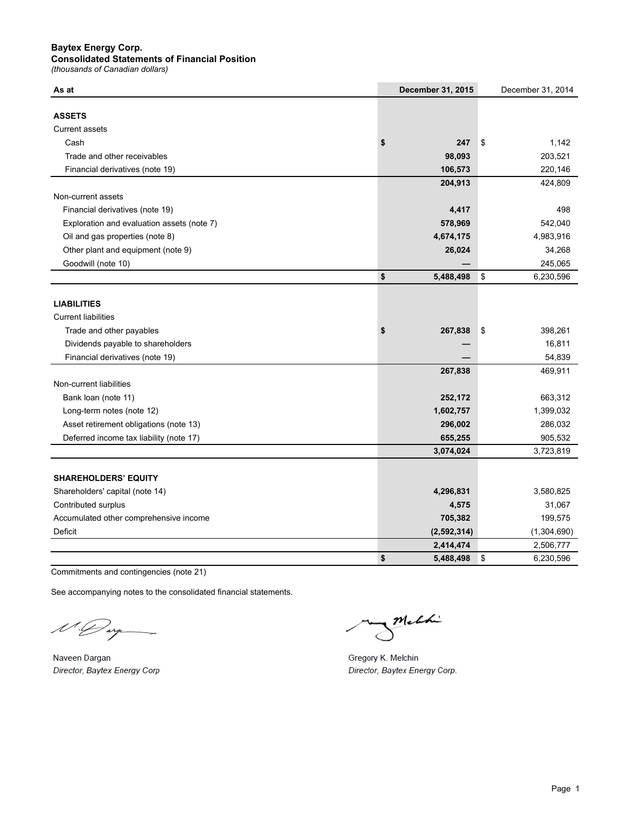**Baytex Energy Corp.** 

## **Consolidated Statements of Financial Position**

*(thousands of Canadian dollars)*

| As at                                      | December 31, 2015 | December 31, 2014 |
|--------------------------------------------|-------------------|-------------------|
|                                            |                   |                   |
| <b>ASSETS</b>                              |                   |                   |
| <b>Current assets</b>                      |                   |                   |
| Cash                                       | \$<br>247         | \$<br>1,142       |
| Trade and other receivables                | 98,093            | 203,521           |
| Financial derivatives (note 19)            | 106,573           | 220,146           |
|                                            | 204,913           | 424,809           |
| Non-current assets                         |                   |                   |
| Financial derivatives (note 19)            | 4,417             | 498               |
| Exploration and evaluation assets (note 7) | 578,969           | 542,040           |
| Oil and gas properties (note 8)            | 4,674,175         | 4,983,916         |
| Other plant and equipment (note 9)         | 26,024            | 34,268            |
| Goodwill (note 10)                         |                   | 245,065           |
|                                            | \$<br>5,488,498   | \$<br>6,230,596   |
|                                            |                   |                   |
| <b>LIABILITIES</b>                         |                   |                   |
| <b>Current liabilities</b>                 |                   |                   |
| Trade and other payables                   | \$<br>267,838     | \$<br>398,261     |
| Dividends payable to shareholders          |                   | 16,811            |
| Financial derivatives (note 19)            |                   | 54,839            |
|                                            | 267,838           | 469,911           |
| Non-current liabilities                    |                   |                   |
| Bank loan (note 11)                        | 252,172           | 663,312           |
| Long-term notes (note 12)                  | 1,602,757         | 1,399,032         |
| Asset retirement obligations (note 13)     | 296,002           | 286,032           |
| Deferred income tax liability (note 17)    | 655,255           | 905,532           |
|                                            | 3,074,024         | 3,723,819         |
|                                            |                   |                   |
| <b>SHAREHOLDERS' EQUITY</b>                |                   |                   |
| Shareholders' capital (note 14)            | 4,296,831         | 3,580,825         |
| Contributed surplus                        | 4,575             | 31,067            |
| Accumulated other comprehensive income     | 705,382           | 199,575           |
| Deficit                                    | (2, 592, 314)     | (1,304,690)       |
|                                            | 2,414,474         | 2,506,777         |
|                                            | \$<br>5,488,498   | \$<br>6,230,596   |

Commitments and contingencies (note 21)

 $M\mathscr{D}_{\mathsf{avg}}$  $\overline{\phantom{a}}$ 

Naveen Dargan Director, Baytex Energy Corp

Melhi  $\subset$ 

Gregory K. Melchin Director, Baytex Energy Corp.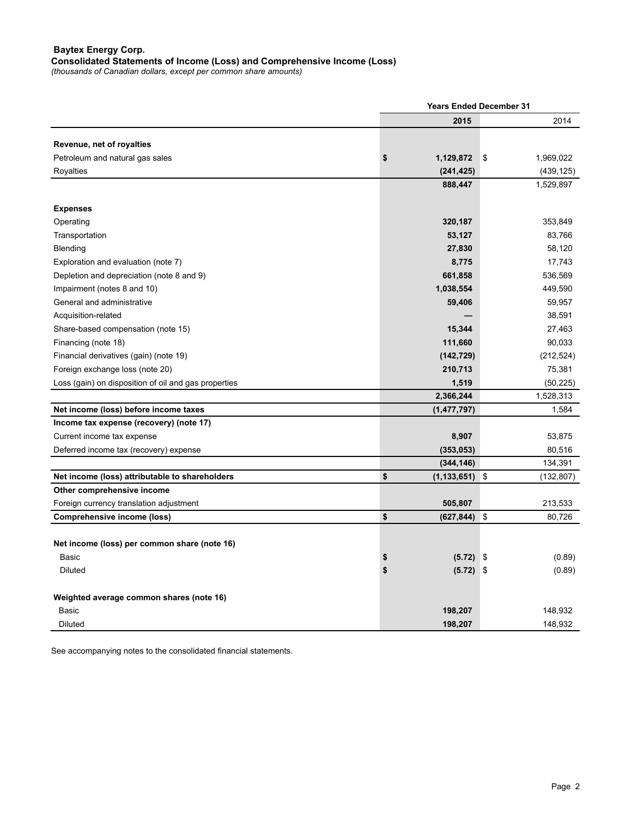# **Baytex Energy Corp. Consolidated Statements of Income (Loss) and Comprehensive Income (Loss)**

*(thousands of Canadian dollars, except per common share amounts)*

|                                                      | <b>Years Ended December 31</b> |               |     |            |  |  |
|------------------------------------------------------|--------------------------------|---------------|-----|------------|--|--|
|                                                      |                                | 2015          |     | 2014       |  |  |
|                                                      |                                |               |     |            |  |  |
| Revenue, net of royalties                            |                                |               |     |            |  |  |
| Petroleum and natural gas sales                      | \$                             | 1,129,872     | ∣\$ | 1,969,022  |  |  |
| Royalties                                            |                                | (241, 425)    |     | (439, 125) |  |  |
|                                                      |                                | 888,447       |     | 1,529,897  |  |  |
| <b>Expenses</b>                                      |                                |               |     |            |  |  |
| Operating                                            |                                | 320,187       |     | 353,849    |  |  |
| Transportation                                       |                                | 53,127        |     | 83,766     |  |  |
| Blending                                             |                                | 27,830        |     | 58,120     |  |  |
| Exploration and evaluation (note 7)                  |                                | 8,775         |     | 17,743     |  |  |
| Depletion and depreciation (note 8 and 9)            |                                | 661,858       |     | 536,569    |  |  |
| Impairment (notes 8 and 10)                          |                                | 1,038,554     |     | 449,590    |  |  |
| General and administrative                           |                                | 59,406        |     | 59,957     |  |  |
| Acquisition-related                                  |                                |               |     | 38,591     |  |  |
| Share-based compensation (note 15)                   |                                | 15,344        |     | 27,463     |  |  |
| Financing (note 18)                                  |                                | 111,660       |     | 90,033     |  |  |
| Financial derivatives (gain) (note 19)               |                                | (142, 729)    |     | (212, 524) |  |  |
| Foreign exchange loss (note 20)                      |                                | 210,713       |     | 75,381     |  |  |
| Loss (gain) on disposition of oil and gas properties |                                | 1,519         |     | (50, 225)  |  |  |
|                                                      |                                | 2,366,244     |     | 1,528,313  |  |  |
| Net income (loss) before income taxes                |                                | (1,477,797)   |     | 1,584      |  |  |
| Income tax expense (recovery) (note 17)              |                                |               |     |            |  |  |
| Current income tax expense                           |                                | 8,907         |     | 53,875     |  |  |
| Deferred income tax (recovery) expense               |                                | (353, 053)    |     | 80,516     |  |  |
|                                                      |                                | (344, 146)    |     | 134,391    |  |  |
| Net income (loss) attributable to shareholders       | \$                             | (1, 133, 651) | ∣\$ | (132, 807) |  |  |
| Other comprehensive income                           |                                |               |     |            |  |  |
| Foreign currency translation adjustment              |                                | 505,807       |     | 213,533    |  |  |
| <b>Comprehensive income (loss)</b>                   | \$                             | (627, 844)    | \$  | 80,726     |  |  |
|                                                      |                                |               |     |            |  |  |
| Net income (loss) per common share (note 16)         |                                |               |     |            |  |  |
| Basic                                                | \$                             | $(5.72)$ \$   |     | (0.89)     |  |  |
| <b>Diluted</b>                                       | \$                             | $(5.72)$ \$   |     | (0.89)     |  |  |
|                                                      |                                |               |     |            |  |  |
| Weighted average common shares (note 16)             |                                |               |     |            |  |  |
| Basic                                                |                                | 198,207       |     | 148,932    |  |  |
| <b>Diluted</b>                                       |                                | 198,207       |     | 148,932    |  |  |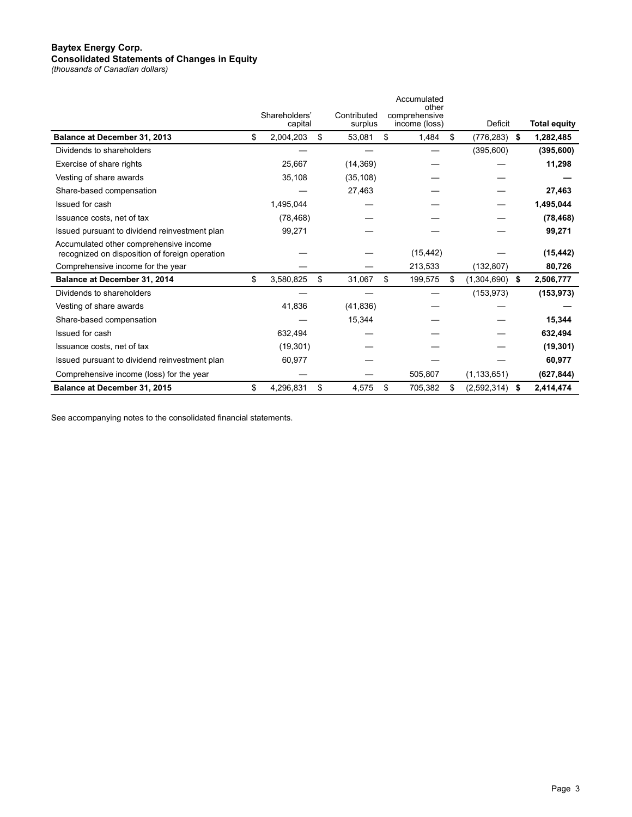### **Baytex Energy Corp. Consolidated Statements of Changes in Equity**

*(thousands of Canadian dollars)*

|                                                                                          | Shareholders'<br>capital | Contributed<br>surplus | Accumulated<br>other<br>comprehensive<br>income (loss) | Deficit           | <b>Total equity</b> |
|------------------------------------------------------------------------------------------|--------------------------|------------------------|--------------------------------------------------------|-------------------|---------------------|
| Balance at December 31, 2013                                                             | \$<br>2,004,203          | \$<br>53,081           | \$<br>1,484                                            | \$<br>(776, 283)  | \$<br>1,282,485     |
| Dividends to shareholders                                                                |                          |                        |                                                        | (395,600)         | (395, 600)          |
| Exercise of share rights                                                                 | 25,667                   | (14, 369)              |                                                        |                   | 11,298              |
| Vesting of share awards                                                                  | 35,108                   | (35, 108)              |                                                        |                   |                     |
| Share-based compensation                                                                 |                          | 27,463                 |                                                        |                   | 27,463              |
| Issued for cash                                                                          | 1,495,044                |                        |                                                        |                   | 1,495,044           |
| Issuance costs, net of tax                                                               | (78, 468)                |                        |                                                        |                   | (78, 468)           |
| Issued pursuant to dividend reinvestment plan                                            | 99,271                   |                        |                                                        |                   | 99,271              |
| Accumulated other comprehensive income<br>recognized on disposition of foreign operation |                          |                        | (15, 442)                                              |                   | (15, 442)           |
| Comprehensive income for the year                                                        |                          |                        | 213,533                                                | (132, 807)        | 80,726              |
| Balance at December 31, 2014                                                             | \$<br>3,580,825          | \$<br>31,067           | \$<br>199,575                                          | \$<br>(1,304,690) | \$<br>2,506,777     |
| Dividends to shareholders                                                                |                          |                        |                                                        | (153, 973)        | (153, 973)          |
| Vesting of share awards                                                                  | 41,836                   | (41, 836)              |                                                        |                   |                     |
| Share-based compensation                                                                 |                          | 15,344                 |                                                        |                   | 15,344              |
| Issued for cash                                                                          | 632,494                  |                        |                                                        |                   | 632,494             |
| Issuance costs, net of tax                                                               | (19, 301)                |                        |                                                        |                   | (19, 301)           |
| Issued pursuant to dividend reinvestment plan                                            | 60,977                   |                        |                                                        |                   | 60,977              |
| Comprehensive income (loss) for the year                                                 |                          |                        | 505,807                                                | (1, 133, 651)     | (627, 844)          |
| Balance at December 31, 2015                                                             | \$<br>4,296,831          | \$<br>4,575            | \$<br>705,382                                          | \$<br>(2,592,314) | \$<br>2,414,474     |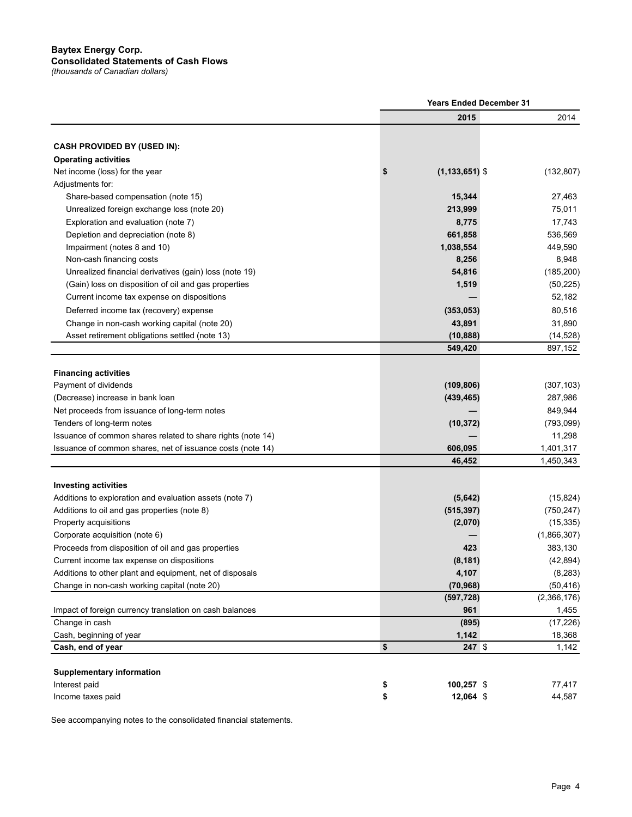#### **Baytex Energy Corp. Consolidated Statements of Cash Flows**  *(thousands of Canadian dollars)*

|                                                             |          | <b>Years Ended December 31</b> |                        |  |  |  |  |
|-------------------------------------------------------------|----------|--------------------------------|------------------------|--|--|--|--|
|                                                             |          | 2015                           | 2014                   |  |  |  |  |
|                                                             |          |                                |                        |  |  |  |  |
| <b>CASH PROVIDED BY (USED IN):</b>                          |          |                                |                        |  |  |  |  |
| <b>Operating activities</b>                                 |          |                                |                        |  |  |  |  |
| Net income (loss) for the year                              | \$       | $(1, 133, 651)$ \$             | (132, 807)             |  |  |  |  |
| Adjustments for:                                            |          |                                |                        |  |  |  |  |
| Share-based compensation (note 15)                          |          | 15,344                         | 27,463                 |  |  |  |  |
| Unrealized foreign exchange loss (note 20)                  |          | 213,999                        | 75,011                 |  |  |  |  |
| Exploration and evaluation (note 7)                         |          | 8,775                          | 17,743                 |  |  |  |  |
| Depletion and depreciation (note 8)                         |          | 661,858                        | 536,569                |  |  |  |  |
| Impairment (notes 8 and 10)                                 |          | 1,038,554                      | 449,590                |  |  |  |  |
| Non-cash financing costs                                    |          | 8,256                          | 8,948                  |  |  |  |  |
| Unrealized financial derivatives (gain) loss (note 19)      |          | 54,816                         | (185, 200)             |  |  |  |  |
| (Gain) loss on disposition of oil and gas properties        |          | 1,519                          | (50, 225)              |  |  |  |  |
| Current income tax expense on dispositions                  |          |                                | 52,182                 |  |  |  |  |
| Deferred income tax (recovery) expense                      |          | (353, 053)                     | 80,516                 |  |  |  |  |
| Change in non-cash working capital (note 20)                |          | 43,891                         | 31,890                 |  |  |  |  |
| Asset retirement obligations settled (note 13)              |          | (10, 888)                      | (14, 528)              |  |  |  |  |
|                                                             |          | 549,420                        | 897,152                |  |  |  |  |
|                                                             |          |                                |                        |  |  |  |  |
| <b>Financing activities</b>                                 |          |                                |                        |  |  |  |  |
| Payment of dividends                                        |          | (109, 806)                     | (307, 103)             |  |  |  |  |
| (Decrease) increase in bank loan                            |          | (439, 465)                     | 287,986                |  |  |  |  |
| Net proceeds from issuance of long-term notes               |          |                                | 849,944                |  |  |  |  |
| Tenders of long-term notes                                  |          | (10, 372)                      | (793,099)              |  |  |  |  |
| Issuance of common shares related to share rights (note 14) |          |                                | 11,298                 |  |  |  |  |
|                                                             |          | 606,095                        |                        |  |  |  |  |
| Issuance of common shares, net of issuance costs (note 14)  |          |                                | 1,401,317<br>1,450,343 |  |  |  |  |
|                                                             |          | 46,452                         |                        |  |  |  |  |
| <b>Investing activities</b>                                 |          |                                |                        |  |  |  |  |
| Additions to exploration and evaluation assets (note 7)     |          | (5,642)                        | (15, 824)              |  |  |  |  |
| Additions to oil and gas properties (note 8)                |          | (515, 397)                     | (750, 247)             |  |  |  |  |
| Property acquisitions                                       |          | (2,070)                        | (15, 335)              |  |  |  |  |
| Corporate acquisition (note 6)                              |          |                                | (1,866,307)            |  |  |  |  |
| Proceeds from disposition of oil and gas properties         |          | 423                            | 383,130                |  |  |  |  |
|                                                             |          |                                |                        |  |  |  |  |
| Current income tax expense on dispositions                  |          | (8, 181)                       | (42, 894)              |  |  |  |  |
| Additions to other plant and equipment, net of disposals    |          | 4,107                          | (8, 283)               |  |  |  |  |
| Change in non-cash working capital (note 20)                |          | (70, 968)                      | (50, 416)              |  |  |  |  |
|                                                             |          | (597, 728)                     | (2,366,176)            |  |  |  |  |
| Impact of foreign currency translation on cash balances     |          | 961                            | 1,455                  |  |  |  |  |
| Change in cash                                              |          | (895)                          | (17, 226)              |  |  |  |  |
| Cash, beginning of year                                     |          | 1,142                          | 18,368                 |  |  |  |  |
| Cash, end of year                                           | \$       | 247 \$                         | 1,142                  |  |  |  |  |
|                                                             |          |                                |                        |  |  |  |  |
| <b>Supplementary information</b><br>Interest paid           |          | 100,257 \$                     | 77,417                 |  |  |  |  |
| Income taxes paid                                           | \$<br>\$ | 12,064 \$                      | 44,587                 |  |  |  |  |
|                                                             |          |                                |                        |  |  |  |  |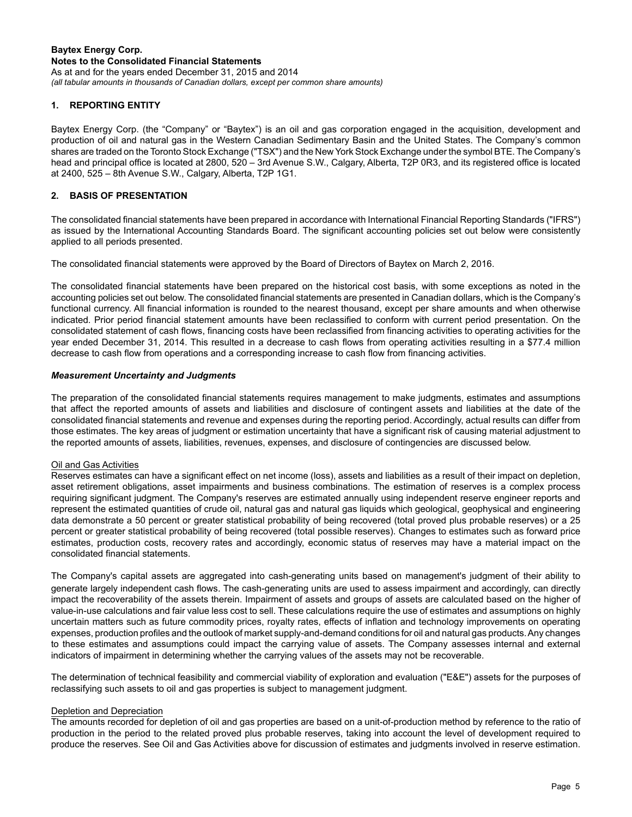### **Baytex Energy Corp. Notes to the Consolidated Financial Statements**

As at and for the years ended December 31, 2015 and 2014 *(all tabular amounts in thousands of Canadian dollars, except per common share amounts)*

## **1. REPORTING ENTITY**

Baytex Energy Corp. (the "Company" or "Baytex") is an oil and gas corporation engaged in the acquisition, development and production of oil and natural gas in the Western Canadian Sedimentary Basin and the United States. The Company's common shares are traded on the Toronto Stock Exchange ("TSX") and the New York Stock Exchange under the symbol BTE. The Company's head and principal office is located at 2800, 520 – 3rd Avenue S.W., Calgary, Alberta, T2P 0R3, and its registered office is located at 2400, 525 – 8th Avenue S.W., Calgary, Alberta, T2P 1G1.

## **2. BASIS OF PRESENTATION**

The consolidated financial statements have been prepared in accordance with International Financial Reporting Standards ("IFRS") as issued by the International Accounting Standards Board. The significant accounting policies set out below were consistently applied to all periods presented.

The consolidated financial statements were approved by the Board of Directors of Baytex on March 2, 2016.

The consolidated financial statements have been prepared on the historical cost basis, with some exceptions as noted in the accounting policies set out below. The consolidated financial statements are presented in Canadian dollars, which is the Company's functional currency. All financial information is rounded to the nearest thousand, except per share amounts and when otherwise indicated. Prior period financial statement amounts have been reclassified to conform with current period presentation. On the consolidated statement of cash flows, financing costs have been reclassified from financing activities to operating activities for the year ended December 31, 2014. This resulted in a decrease to cash flows from operating activities resulting in a \$77.4 million decrease to cash flow from operations and a corresponding increase to cash flow from financing activities.

### *Measurement Uncertainty and Judgments*

The preparation of the consolidated financial statements requires management to make judgments, estimates and assumptions that affect the reported amounts of assets and liabilities and disclosure of contingent assets and liabilities at the date of the consolidated financial statements and revenue and expenses during the reporting period. Accordingly, actual results can differ from those estimates. The key areas of judgment or estimation uncertainty that have a significant risk of causing material adjustment to the reported amounts of assets, liabilities, revenues, expenses, and disclosure of contingencies are discussed below.

## Oil and Gas Activities

Reserves estimates can have a significant effect on net income (loss), assets and liabilities as a result of their impact on depletion, asset retirement obligations, asset impairments and business combinations. The estimation of reserves is a complex process requiring significant judgment. The Company's reserves are estimated annually using independent reserve engineer reports and represent the estimated quantities of crude oil, natural gas and natural gas liquids which geological, geophysical and engineering data demonstrate a 50 percent or greater statistical probability of being recovered (total proved plus probable reserves) or a 25 percent or greater statistical probability of being recovered (total possible reserves). Changes to estimates such as forward price estimates, production costs, recovery rates and accordingly, economic status of reserves may have a material impact on the consolidated financial statements.

The Company's capital assets are aggregated into cash-generating units based on management's judgment of their ability to generate largely independent cash flows. The cash-generating units are used to assess impairment and accordingly, can directly impact the recoverability of the assets therein. Impairment of assets and groups of assets are calculated based on the higher of value-in-use calculations and fair value less cost to sell. These calculations require the use of estimates and assumptions on highly uncertain matters such as future commodity prices, royalty rates, effects of inflation and technology improvements on operating expenses, production profiles and the outlook of market supply-and-demand conditions for oil and natural gas products. Any changes to these estimates and assumptions could impact the carrying value of assets. The Company assesses internal and external indicators of impairment in determining whether the carrying values of the assets may not be recoverable.

The determination of technical feasibility and commercial viability of exploration and evaluation ("E&E") assets for the purposes of reclassifying such assets to oil and gas properties is subject to management judgment.

### Depletion and Depreciation

The amounts recorded for depletion of oil and gas properties are based on a unit-of-production method by reference to the ratio of production in the period to the related proved plus probable reserves, taking into account the level of development required to produce the reserves. See Oil and Gas Activities above for discussion of estimates and judgments involved in reserve estimation.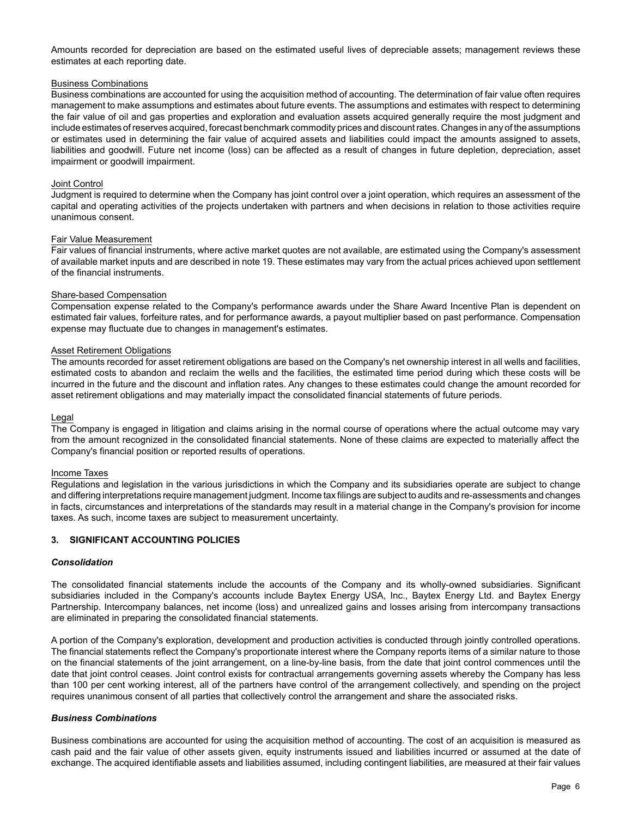Amounts recorded for depreciation are based on the estimated useful lives of depreciable assets; management reviews these estimates at each reporting date.

### Business Combinations

Business combinations are accounted for using the acquisition method of accounting. The determination of fair value often requires management to make assumptions and estimates about future events. The assumptions and estimates with respect to determining the fair value of oil and gas properties and exploration and evaluation assets acquired generally require the most judgment and include estimates of reserves acquired, forecast benchmark commodity prices and discount rates. Changes in any of the assumptions or estimates used in determining the fair value of acquired assets and liabilities could impact the amounts assigned to assets, liabilities and goodwill. Future net income (loss) can be affected as a result of changes in future depletion, depreciation, asset impairment or goodwill impairment.

### Joint Control

Judgment is required to determine when the Company has joint control over a joint operation, which requires an assessment of the capital and operating activities of the projects undertaken with partners and when decisions in relation to those activities require unanimous consent.

### Fair Value Measurement

Fair values of financial instruments, where active market quotes are not available, are estimated using the Company's assessment of available market inputs and are described in note 19. These estimates may vary from the actual prices achieved upon settlement of the financial instruments.

#### Share-based Compensation

Compensation expense related to the Company's performance awards under the Share Award Incentive Plan is dependent on estimated fair values, forfeiture rates, and for performance awards, a payout multiplier based on past performance. Compensation expense may fluctuate due to changes in management's estimates.

#### Asset Retirement Obligations

The amounts recorded for asset retirement obligations are based on the Company's net ownership interest in all wells and facilities, estimated costs to abandon and reclaim the wells and the facilities, the estimated time period during which these costs will be incurred in the future and the discount and inflation rates. Any changes to these estimates could change the amount recorded for asset retirement obligations and may materially impact the consolidated financial statements of future periods.

### Legal

The Company is engaged in litigation and claims arising in the normal course of operations where the actual outcome may vary from the amount recognized in the consolidated financial statements. None of these claims are expected to materially affect the Company's financial position or reported results of operations.

#### Income Taxes

Regulations and legislation in the various jurisdictions in which the Company and its subsidiaries operate are subject to change and differing interpretations require management judgment. Income tax filings are subject to audits and re-assessments and changes in facts, circumstances and interpretations of the standards may result in a material change in the Company's provision for income taxes. As such, income taxes are subject to measurement uncertainty.

### **3. SIGNIFICANT ACCOUNTING POLICIES**

#### *Consolidation*

The consolidated financial statements include the accounts of the Company and its wholly-owned subsidiaries. Significant subsidiaries included in the Company's accounts include Baytex Energy USA, Inc., Baytex Energy Ltd. and Baytex Energy Partnership. Intercompany balances, net income (loss) and unrealized gains and losses arising from intercompany transactions are eliminated in preparing the consolidated financial statements.

A portion of the Company's exploration, development and production activities is conducted through jointly controlled operations. The financial statements reflect the Company's proportionate interest where the Company reports items of a similar nature to those on the financial statements of the joint arrangement, on a line-by-line basis, from the date that joint control commences until the date that joint control ceases. Joint control exists for contractual arrangements governing assets whereby the Company has less than 100 per cent working interest, all of the partners have control of the arrangement collectively, and spending on the project requires unanimous consent of all parties that collectively control the arrangement and share the associated risks.

### *Business Combinations*

Business combinations are accounted for using the acquisition method of accounting. The cost of an acquisition is measured as cash paid and the fair value of other assets given, equity instruments issued and liabilities incurred or assumed at the date of exchange. The acquired identifiable assets and liabilities assumed, including contingent liabilities, are measured at their fair values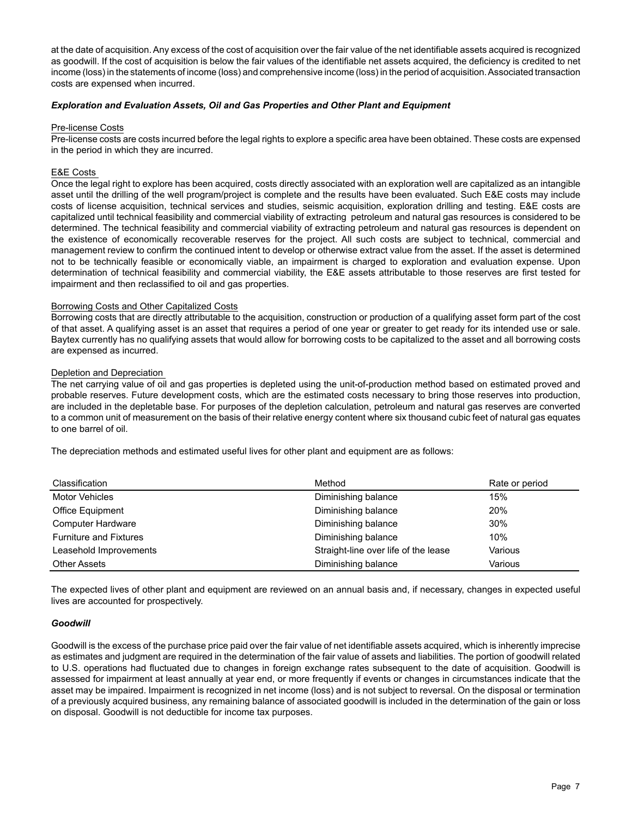at the date of acquisition. Any excess of the cost of acquisition over the fair value of the net identifiable assets acquired is recognized as goodwill. If the cost of acquisition is below the fair values of the identifiable net assets acquired, the deficiency is credited to net income (loss) in the statements of income (loss) and comprehensive income (loss) in the period of acquisition. Associated transaction costs are expensed when incurred.

### *Exploration and Evaluation Assets, Oil and Gas Properties and Other Plant and Equipment*

### Pre-license Costs

Pre-license costs are costs incurred before the legal rights to explore a specific area have been obtained. These costs are expensed in the period in which they are incurred.

### E&E Costs

Once the legal right to explore has been acquired, costs directly associated with an exploration well are capitalized as an intangible asset until the drilling of the well program/project is complete and the results have been evaluated. Such E&E costs may include costs of license acquisition, technical services and studies, seismic acquisition, exploration drilling and testing. E&E costs are capitalized until technical feasibility and commercial viability of extracting petroleum and natural gas resources is considered to be determined. The technical feasibility and commercial viability of extracting petroleum and natural gas resources is dependent on the existence of economically recoverable reserves for the project. All such costs are subject to technical, commercial and management review to confirm the continued intent to develop or otherwise extract value from the asset. If the asset is determined not to be technically feasible or economically viable, an impairment is charged to exploration and evaluation expense. Upon determination of technical feasibility and commercial viability, the E&E assets attributable to those reserves are first tested for impairment and then reclassified to oil and gas properties.

#### Borrowing Costs and Other Capitalized Costs

Borrowing costs that are directly attributable to the acquisition, construction or production of a qualifying asset form part of the cost of that asset. A qualifying asset is an asset that requires a period of one year or greater to get ready for its intended use or sale. Baytex currently has no qualifying assets that would allow for borrowing costs to be capitalized to the asset and all borrowing costs are expensed as incurred.

#### Depletion and Depreciation

The net carrying value of oil and gas properties is depleted using the unit-of-production method based on estimated proved and probable reserves. Future development costs, which are the estimated costs necessary to bring those reserves into production, are included in the depletable base. For purposes of the depletion calculation, petroleum and natural gas reserves are converted to a common unit of measurement on the basis of their relative energy content where six thousand cubic feet of natural gas equates to one barrel of oil.

The depreciation methods and estimated useful lives for other plant and equipment are as follows:

| Classification                | Method                               | Rate or period |
|-------------------------------|--------------------------------------|----------------|
| <b>Motor Vehicles</b>         | Diminishing balance                  | 15%            |
| Office Equipment              | Diminishing balance                  | 20%            |
| <b>Computer Hardware</b>      | Diminishing balance                  | 30%            |
| <b>Furniture and Fixtures</b> | Diminishing balance                  | 10%            |
| Leasehold Improvements        | Straight-line over life of the lease | Various        |
| <b>Other Assets</b>           | Diminishing balance                  | Various        |

The expected lives of other plant and equipment are reviewed on an annual basis and, if necessary, changes in expected useful lives are accounted for prospectively.

#### *Goodwill*

Goodwill is the excess of the purchase price paid over the fair value of net identifiable assets acquired, which is inherently imprecise as estimates and judgment are required in the determination of the fair value of assets and liabilities. The portion of goodwill related to U.S. operations had fluctuated due to changes in foreign exchange rates subsequent to the date of acquisition. Goodwill is assessed for impairment at least annually at year end, or more frequently if events or changes in circumstances indicate that the asset may be impaired. Impairment is recognized in net income (loss) and is not subject to reversal. On the disposal or termination of a previously acquired business, any remaining balance of associated goodwill is included in the determination of the gain or loss on disposal. Goodwill is not deductible for income tax purposes.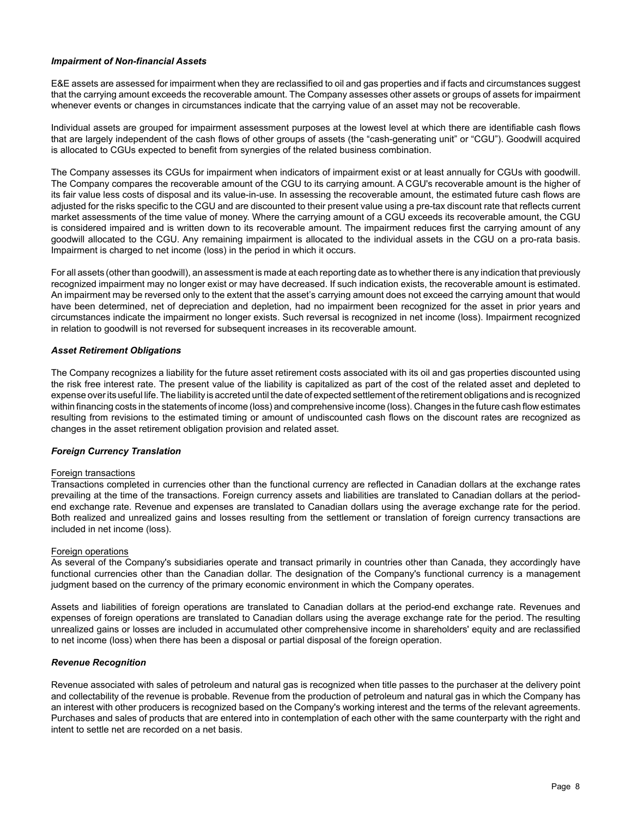### *Impairment of Non-financial Assets*

E&E assets are assessed for impairment when they are reclassified to oil and gas properties and if facts and circumstances suggest that the carrying amount exceeds the recoverable amount. The Company assesses other assets or groups of assets for impairment whenever events or changes in circumstances indicate that the carrying value of an asset may not be recoverable.

Individual assets are grouped for impairment assessment purposes at the lowest level at which there are identifiable cash flows that are largely independent of the cash flows of other groups of assets (the "cash-generating unit" or "CGU"). Goodwill acquired is allocated to CGUs expected to benefit from synergies of the related business combination.

The Company assesses its CGUs for impairment when indicators of impairment exist or at least annually for CGUs with goodwill. The Company compares the recoverable amount of the CGU to its carrying amount. A CGU's recoverable amount is the higher of its fair value less costs of disposal and its value-in-use. In assessing the recoverable amount, the estimated future cash flows are adjusted for the risks specific to the CGU and are discounted to their present value using a pre-tax discount rate that reflects current market assessments of the time value of money. Where the carrying amount of a CGU exceeds its recoverable amount, the CGU is considered impaired and is written down to its recoverable amount. The impairment reduces first the carrying amount of any goodwill allocated to the CGU. Any remaining impairment is allocated to the individual assets in the CGU on a pro-rata basis. Impairment is charged to net income (loss) in the period in which it occurs.

For all assets (other than goodwill), an assessment is made at each reporting date as to whether there is any indication that previously recognized impairment may no longer exist or may have decreased. If such indication exists, the recoverable amount is estimated. An impairment may be reversed only to the extent that the asset's carrying amount does not exceed the carrying amount that would have been determined, net of depreciation and depletion, had no impairment been recognized for the asset in prior years and circumstances indicate the impairment no longer exists. Such reversal is recognized in net income (loss). Impairment recognized in relation to goodwill is not reversed for subsequent increases in its recoverable amount.

#### *Asset Retirement Obligations*

The Company recognizes a liability for the future asset retirement costs associated with its oil and gas properties discounted using the risk free interest rate. The present value of the liability is capitalized as part of the cost of the related asset and depleted to expense over its useful life. The liability is accreted until the date of expected settlement of the retirement obligations and is recognized within financing costs in the statements of income (loss) and comprehensive income (loss). Changes in the future cash flow estimates resulting from revisions to the estimated timing or amount of undiscounted cash flows on the discount rates are recognized as changes in the asset retirement obligation provision and related asset.

### *Foreign Currency Translation*

#### Foreign transactions

Transactions completed in currencies other than the functional currency are reflected in Canadian dollars at the exchange rates prevailing at the time of the transactions. Foreign currency assets and liabilities are translated to Canadian dollars at the periodend exchange rate. Revenue and expenses are translated to Canadian dollars using the average exchange rate for the period. Both realized and unrealized gains and losses resulting from the settlement or translation of foreign currency transactions are included in net income (loss).

#### Foreign operations

As several of the Company's subsidiaries operate and transact primarily in countries other than Canada, they accordingly have functional currencies other than the Canadian dollar. The designation of the Company's functional currency is a management judgment based on the currency of the primary economic environment in which the Company operates.

Assets and liabilities of foreign operations are translated to Canadian dollars at the period-end exchange rate. Revenues and expenses of foreign operations are translated to Canadian dollars using the average exchange rate for the period. The resulting unrealized gains or losses are included in accumulated other comprehensive income in shareholders' equity and are reclassified to net income (loss) when there has been a disposal or partial disposal of the foreign operation.

### *Revenue Recognition*

Revenue associated with sales of petroleum and natural gas is recognized when title passes to the purchaser at the delivery point and collectability of the revenue is probable. Revenue from the production of petroleum and natural gas in which the Company has an interest with other producers is recognized based on the Company's working interest and the terms of the relevant agreements. Purchases and sales of products that are entered into in contemplation of each other with the same counterparty with the right and intent to settle net are recorded on a net basis.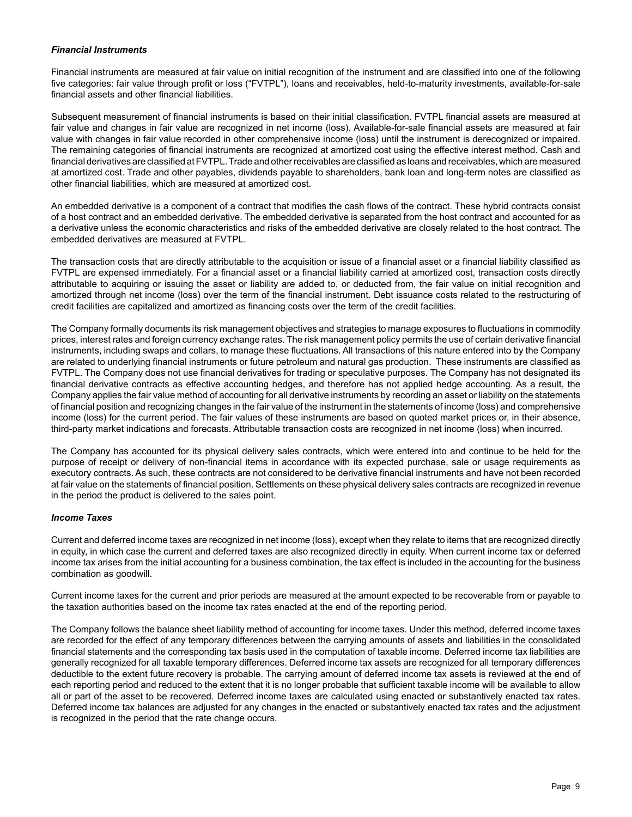### *Financial Instruments*

Financial instruments are measured at fair value on initial recognition of the instrument and are classified into one of the following five categories: fair value through profit or loss ("FVTPL"), loans and receivables, held-to-maturity investments, available-for-sale financial assets and other financial liabilities.

Subsequent measurement of financial instruments is based on their initial classification. FVTPL financial assets are measured at fair value and changes in fair value are recognized in net income (loss). Available-for-sale financial assets are measured at fair value with changes in fair value recorded in other comprehensive income (loss) until the instrument is derecognized or impaired. The remaining categories of financial instruments are recognized at amortized cost using the effective interest method. Cash and financial derivatives are classified at FVTPL. Trade and other receivables are classified as loans and receivables, which are measured at amortized cost. Trade and other payables, dividends payable to shareholders, bank loan and long-term notes are classified as other financial liabilities, which are measured at amortized cost.

An embedded derivative is a component of a contract that modifies the cash flows of the contract. These hybrid contracts consist of a host contract and an embedded derivative. The embedded derivative is separated from the host contract and accounted for as a derivative unless the economic characteristics and risks of the embedded derivative are closely related to the host contract. The embedded derivatives are measured at FVTPL.

The transaction costs that are directly attributable to the acquisition or issue of a financial asset or a financial liability classified as FVTPL are expensed immediately. For a financial asset or a financial liability carried at amortized cost, transaction costs directly attributable to acquiring or issuing the asset or liability are added to, or deducted from, the fair value on initial recognition and amortized through net income (loss) over the term of the financial instrument. Debt issuance costs related to the restructuring of credit facilities are capitalized and amortized as financing costs over the term of the credit facilities.

The Company formally documents its risk management objectives and strategies to manage exposures to fluctuations in commodity prices, interest rates and foreign currency exchange rates. The risk management policy permits the use of certain derivative financial instruments, including swaps and collars, to manage these fluctuations. All transactions of this nature entered into by the Company are related to underlying financial instruments or future petroleum and natural gas production. These instruments are classified as FVTPL. The Company does not use financial derivatives for trading or speculative purposes. The Company has not designated its financial derivative contracts as effective accounting hedges, and therefore has not applied hedge accounting. As a result, the Company applies the fair value method of accounting for all derivative instruments by recording an asset or liability on the statements of financial position and recognizing changes in the fair value of the instrument in the statements of income (loss) and comprehensive income (loss) for the current period. The fair values of these instruments are based on quoted market prices or, in their absence, third-party market indications and forecasts. Attributable transaction costs are recognized in net income (loss) when incurred.

The Company has accounted for its physical delivery sales contracts, which were entered into and continue to be held for the purpose of receipt or delivery of non-financial items in accordance with its expected purchase, sale or usage requirements as executory contracts. As such, these contracts are not considered to be derivative financial instruments and have not been recorded at fair value on the statements of financial position. Settlements on these physical delivery sales contracts are recognized in revenue in the period the product is delivered to the sales point.

### *Income Taxes*

Current and deferred income taxes are recognized in net income (loss), except when they relate to items that are recognized directly in equity, in which case the current and deferred taxes are also recognized directly in equity. When current income tax or deferred income tax arises from the initial accounting for a business combination, the tax effect is included in the accounting for the business combination as goodwill.

Current income taxes for the current and prior periods are measured at the amount expected to be recoverable from or payable to the taxation authorities based on the income tax rates enacted at the end of the reporting period.

The Company follows the balance sheet liability method of accounting for income taxes. Under this method, deferred income taxes are recorded for the effect of any temporary differences between the carrying amounts of assets and liabilities in the consolidated financial statements and the corresponding tax basis used in the computation of taxable income. Deferred income tax liabilities are generally recognized for all taxable temporary differences. Deferred income tax assets are recognized for all temporary differences deductible to the extent future recovery is probable. The carrying amount of deferred income tax assets is reviewed at the end of each reporting period and reduced to the extent that it is no longer probable that sufficient taxable income will be available to allow all or part of the asset to be recovered. Deferred income taxes are calculated using enacted or substantively enacted tax rates. Deferred income tax balances are adjusted for any changes in the enacted or substantively enacted tax rates and the adjustment is recognized in the period that the rate change occurs.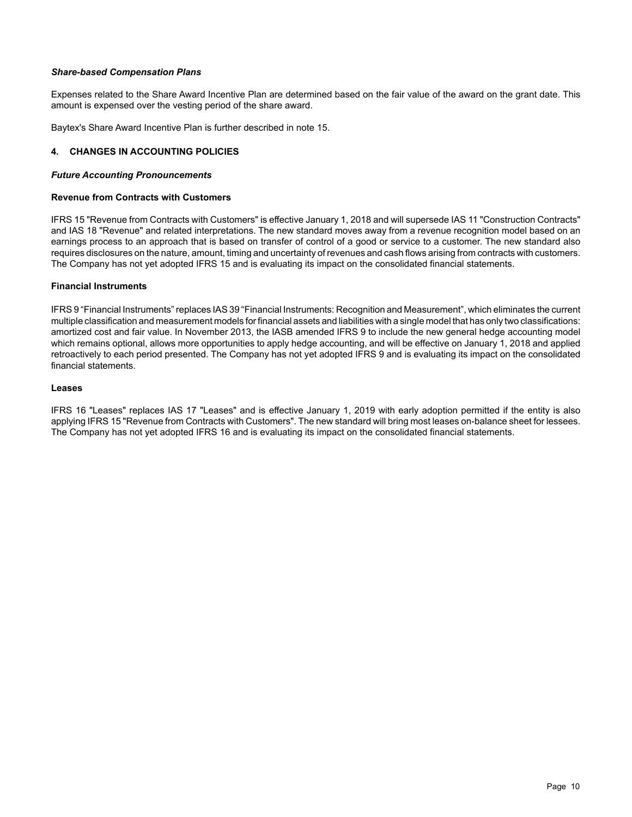### *Share-based Compensation Plans*

Expenses related to the Share Award Incentive Plan are determined based on the fair value of the award on the grant date. This amount is expensed over the vesting period of the share award.

Baytex's Share Award Incentive Plan is further described in note 15.

### **4. CHANGES IN ACCOUNTING POLICIES**

#### *Future Accounting Pronouncements*

#### **Revenue from Contracts with Customers**

IFRS 15 "Revenue from Contracts with Customers" is effective January 1, 2018 and will supersede IAS 11 "Construction Contracts" and IAS 18 "Revenue" and related interpretations. The new standard moves away from a revenue recognition model based on an earnings process to an approach that is based on transfer of control of a good or service to a customer. The new standard also requires disclosures on the nature, amount, timing and uncertainty of revenues and cash flows arising from contracts with customers. The Company has not yet adopted IFRS 15 and is evaluating its impact on the consolidated financial statements.

#### **Financial Instruments**

IFRS 9 "Financial Instruments" replaces IAS 39 "Financial Instruments: Recognition and Measurement", which eliminates the current multiple classification and measurement models for financial assets and liabilities with a single model that has only two classifications: amortized cost and fair value. In November 2013, the IASB amended IFRS 9 to include the new general hedge accounting model which remains optional, allows more opportunities to apply hedge accounting, and will be effective on January 1, 2018 and applied retroactively to each period presented. The Company has not yet adopted IFRS 9 and is evaluating its impact on the consolidated financial statements.

#### **Leases**

IFRS 16 "Leases" replaces IAS 17 "Leases" and is effective January 1, 2019 with early adoption permitted if the entity is also applying IFRS 15 "Revenue from Contracts with Customers". The new standard will bring most leases on-balance sheet for lessees. The Company has not yet adopted IFRS 16 and is evaluating its impact on the consolidated financial statements.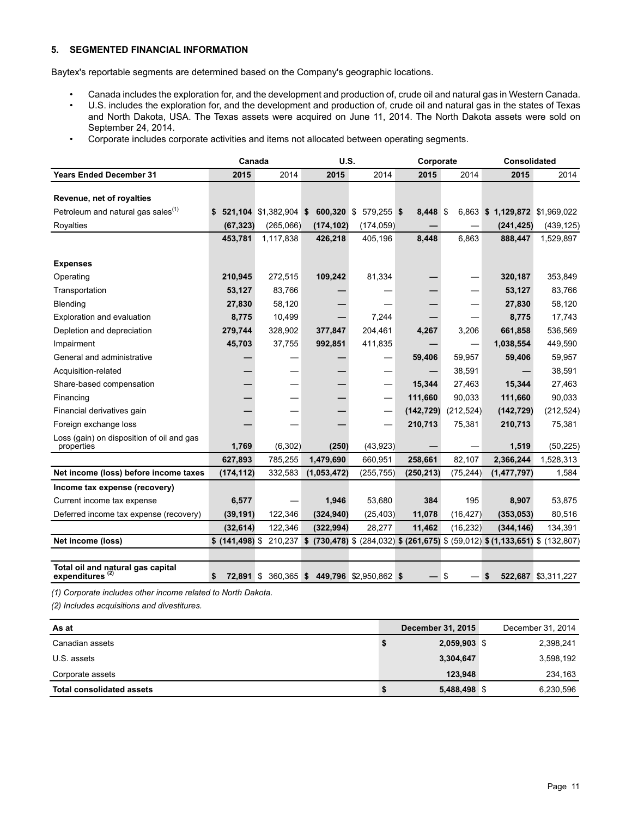### **5. SEGMENTED FINANCIAL INFORMATION**

Baytex's reportable segments are determined based on the Company's geographic locations.

- Canada includes the exploration for, and the development and production of, crude oil and natural gas in Western Canada.
- U.S. includes the exploration for, and the development and production of, crude oil and natural gas in the states of Texas and North Dakota, USA. The Texas assets were acquired on June 11, 2014. The North Dakota assets were sold on September 24, 2014.
- Corporate includes corporate activities and items not allocated between operating segments.

|                                                                  | Canada          |                           | U.S.                             |                 | Corporate  |            | <b>Consolidated</b>                                                                  |                     |
|------------------------------------------------------------------|-----------------|---------------------------|----------------------------------|-----------------|------------|------------|--------------------------------------------------------------------------------------|---------------------|
| <b>Years Ended December 31</b>                                   | 2015            | 2014                      | 2015                             | 2014            | 2015       | 2014       | 2015                                                                                 | 2014                |
| Revenue, net of royalties                                        |                 |                           |                                  |                 |            |            |                                                                                      |                     |
| Petroleum and natural gas sales <sup>(1)</sup>                   |                 | $$521,104$ \$1,382,904 \$ | 600,320 \$                       | 579,255 \$      | 8,448 \$   |            | 6,863 \$1,129,872 \$1,969,022                                                        |                     |
|                                                                  |                 |                           |                                  |                 |            |            |                                                                                      |                     |
| Royalties                                                        | (67, 323)       | (265,066)                 | (174, 102)                       | (174, 059)      |            |            | (241, 425)                                                                           | (439, 125)          |
|                                                                  | 453,781         | 1,117,838                 | 426,218                          | 405,196         | 8,448      | 6,863      | 888,447                                                                              | 1,529,897           |
| <b>Expenses</b>                                                  |                 |                           |                                  |                 |            |            |                                                                                      |                     |
| Operating                                                        | 210,945         | 272,515                   | 109,242                          | 81,334          |            |            | 320,187                                                                              | 353,849             |
| Transportation                                                   | 53,127          | 83,766                    |                                  |                 |            |            | 53,127                                                                               | 83,766              |
| Blending                                                         | 27,830          | 58,120                    |                                  |                 |            |            | 27,830                                                                               | 58,120              |
| Exploration and evaluation                                       | 8,775           | 10,499                    |                                  | 7,244           |            |            | 8,775                                                                                | 17,743              |
| Depletion and depreciation                                       | 279,744         | 328,902                   | 377,847                          | 204,461         | 4,267      | 3,206      | 661,858                                                                              | 536,569             |
| Impairment                                                       | 45,703          | 37,755                    | 992,851                          | 411,835         |            |            | 1,038,554                                                                            | 449,590             |
| General and administrative                                       |                 |                           |                                  |                 | 59,406     | 59,957     | 59,406                                                                               | 59,957              |
| Acquisition-related                                              |                 |                           |                                  |                 |            | 38,591     |                                                                                      | 38,591              |
| Share-based compensation                                         |                 |                           |                                  |                 | 15.344     | 27,463     | 15,344                                                                               | 27,463              |
| Financing                                                        |                 |                           |                                  | $\qquad \qquad$ | 111,660    | 90,033     | 111,660                                                                              | 90,033              |
| Financial derivatives gain                                       |                 |                           |                                  |                 | (142, 729) | (212, 524) | (142, 729)                                                                           | (212, 524)          |
| Foreign exchange loss                                            |                 |                           |                                  |                 | 210,713    | 75,381     | 210,713                                                                              | 75,381              |
| Loss (gain) on disposition of oil and gas<br>properties          | 1,769           | (6, 302)                  | (250)                            | (43, 923)       |            |            | 1,519                                                                                | (50, 225)           |
|                                                                  | 627,893         | 785,255                   | 1,479,690                        | 660,951         | 258,661    | 82,107     | 2,366,244                                                                            | 1,528,313           |
| Net income (loss) before income taxes                            | (174, 112)      | 332,583                   | (1,053,472)                      | (255, 755)      | (250, 213) | (75, 244)  | (1,477,797)                                                                          | 1,584               |
| Income tax expense (recovery)                                    |                 |                           |                                  |                 |            |            |                                                                                      |                     |
| Current income tax expense                                       | 6,577           |                           | 1,946                            | 53.680          | 384        | 195        | 8,907                                                                                | 53,875              |
| Deferred income tax expense (recovery)                           | (39, 191)       | 122,346                   | (324, 940)                       | (25, 403)       | 11,078     | (16, 427)  | (353, 053)                                                                           | 80,516              |
|                                                                  | (32, 614)       | 122,346                   | (322, 994)                       | 28,277          | 11,462     | (16, 232)  | (344, 146)                                                                           | 134,391             |
| Net income (loss)                                                |                 | $$$ (141,498) $$$ 210,237 |                                  |                 |            |            | $$$ (730,478) $$$ (284,032) $$$ (261,675) $$$ (59,012) $$$ (1,133,651) $$$ (132,807) |                     |
|                                                                  |                 |                           |                                  |                 |            |            |                                                                                      |                     |
| Total oil and natural gas capital<br>expenditures <sup>(2)</sup> | 72,891 \$<br>\$ |                           | 360,365 \$449,796 \$2,950,862 \$ |                 |            | \$         | \$                                                                                   | 522,687 \$3,311,227 |

*(1) Corporate includes other income related to North Dakota.*

*(2) Includes acquisitions and divestitures.* 

| As at                            | <b>December 31, 2015</b> | December 31, 2014 |
|----------------------------------|--------------------------|-------------------|
| Canadian assets                  | 2,059,903 \$             | 2,398,241         |
| U.S. assets                      | 3,304,647                | 3,598,192         |
| Corporate assets                 | 123.948                  | 234,163           |
| <b>Total consolidated assets</b> | 5,488,498 \$             | 6,230,596         |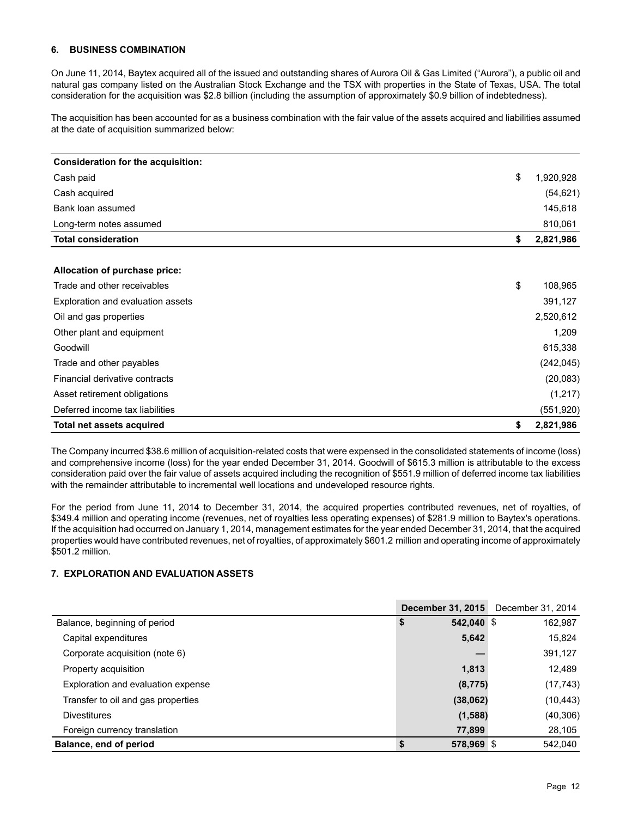## **6. BUSINESS COMBINATION**

On June 11, 2014, Baytex acquired all of the issued and outstanding shares of Aurora Oil & Gas Limited ("Aurora"), a public oil and natural gas company listed on the Australian Stock Exchange and the TSX with properties in the State of Texas, USA. The total consideration for the acquisition was \$2.8 billion (including the assumption of approximately \$0.9 billion of indebtedness).

The acquisition has been accounted for as a business combination with the fair value of the assets acquired and liabilities assumed at the date of acquisition summarized below:

| <b>Consideration for the acquisition:</b> |                 |
|-------------------------------------------|-----------------|
| Cash paid                                 | \$<br>1,920,928 |
| Cash acquired                             | (54, 621)       |
| Bank loan assumed                         | 145,618         |
| Long-term notes assumed                   | 810,061         |
| <b>Total consideration</b>                | \$<br>2,821,986 |
|                                           |                 |
| Allocation of purchase price:             |                 |
| Trade and other receivables               | \$<br>108,965   |
| Exploration and evaluation assets         | 391,127         |
| Oil and gas properties                    | 2,520,612       |
| Other plant and equipment                 | 1,209           |
| Goodwill                                  | 615,338         |
| Trade and other payables                  | (242, 045)      |
| Financial derivative contracts            | (20, 083)       |
| Asset retirement obligations              | (1, 217)        |
| Deferred income tax liabilities           | (551, 920)      |
| <b>Total net assets acquired</b>          | \$<br>2,821,986 |

The Company incurred \$38.6 million of acquisition-related costs that were expensed in the consolidated statements of income (loss) and comprehensive income (loss) for the year ended December 31, 2014. Goodwill of \$615.3 million is attributable to the excess consideration paid over the fair value of assets acquired including the recognition of \$551.9 million of deferred income tax liabilities with the remainder attributable to incremental well locations and undeveloped resource rights.

For the period from June 11, 2014 to December 31, 2014, the acquired properties contributed revenues, net of royalties, of \$349.4 million and operating income (revenues, net of royalties less operating expenses) of \$281.9 million to Baytex's operations. If the acquisition had occurred on January 1, 2014, management estimates for the year ended December 31, 2014, that the acquired properties would have contributed revenues, net of royalties, of approximately \$601.2 million and operating income of approximately \$501.2 million.

## **7. EXPLORATION AND EVALUATION ASSETS**

|                                    | <b>December 31, 2015</b> | December 31, 2014 |
|------------------------------------|--------------------------|-------------------|
| Balance, beginning of period       | 542,040 \$<br>\$         | 162,987           |
| Capital expenditures               | 5,642                    | 15,824            |
| Corporate acquisition (note 6)     |                          | 391,127           |
| Property acquisition               | 1,813                    | 12,489            |
| Exploration and evaluation expense | (8, 775)                 | (17, 743)         |
| Transfer to oil and gas properties | (38,062)                 | (10, 443)         |
| <b>Divestitures</b>                | (1,588)                  | (40, 306)         |
| Foreign currency translation       | 77,899                   | 28,105            |
| Balance, end of period             | 578,969 \$               | 542.040           |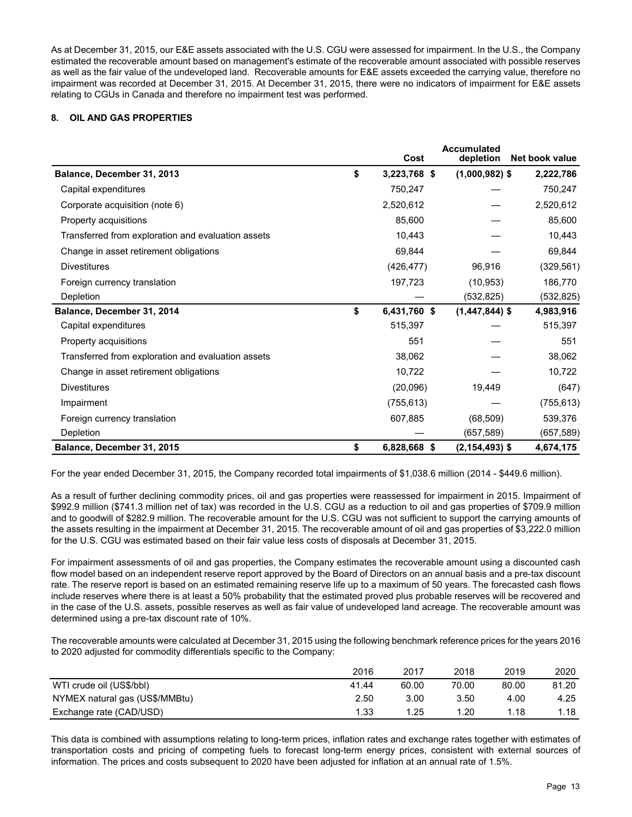As at December 31, 2015, our E&E assets associated with the U.S. CGU were assessed for impairment. In the U.S., the Company estimated the recoverable amount based on management's estimate of the recoverable amount associated with possible reserves as well as the fair value of the undeveloped land. Recoverable amounts for E&E assets exceeded the carrying value, therefore no impairment was recorded at December 31, 2015. At December 31, 2015, there were no indicators of impairment for E&E assets relating to CGUs in Canada and therefore no impairment test was performed.

## **8. OIL AND GAS PROPERTIES**

|                                                    | Cost               | <b>Accumulated</b><br>depletion | Net book value |
|----------------------------------------------------|--------------------|---------------------------------|----------------|
| Balance, December 31, 2013                         | \$<br>3,223,768 \$ | $(1,000,982)$ \$                | 2,222,786      |
| Capital expenditures                               | 750,247            |                                 | 750,247        |
| Corporate acquisition (note 6)                     | 2,520,612          |                                 | 2,520,612      |
| Property acquisitions                              | 85,600             |                                 | 85,600         |
| Transferred from exploration and evaluation assets | 10,443             |                                 | 10,443         |
| Change in asset retirement obligations             | 69,844             |                                 | 69,844         |
| <b>Divestitures</b>                                | (426, 477)         | 96,916                          | (329, 561)     |
| Foreign currency translation                       | 197,723            | (10, 953)                       | 186,770        |
| Depletion                                          |                    | (532, 825)                      | (532, 825)     |
| Balance, December 31, 2014                         | \$<br>6,431,760 \$ | $(1,447,844)$ \$                | 4,983,916      |
| Capital expenditures                               | 515,397            |                                 | 515,397        |
| Property acquisitions                              | 551                |                                 | 551            |
| Transferred from exploration and evaluation assets | 38,062             |                                 | 38,062         |
| Change in asset retirement obligations             | 10,722             |                                 | 10,722         |
| <b>Divestitures</b>                                | (20,096)           | 19,449                          | (647)          |
| Impairment                                         | (755, 613)         |                                 | (755, 613)     |
| Foreign currency translation                       | 607,885            | (68, 509)                       | 539,376        |
| Depletion                                          |                    | (657, 589)                      | (657, 589)     |
| Balance, December 31, 2015                         | \$<br>6,828,668 \$ | $(2, 154, 493)$ \$              | 4,674,175      |

For the year ended December 31, 2015, the Company recorded total impairments of \$1,038.6 million (2014 - \$449.6 million).

As a result of further declining commodity prices, oil and gas properties were reassessed for impairment in 2015. Impairment of \$992.9 million (\$741.3 million net of tax) was recorded in the U.S. CGU as a reduction to oil and gas properties of \$709.9 million and to goodwill of \$282.9 million. The recoverable amount for the U.S. CGU was not sufficient to support the carrying amounts of the assets resulting in the impairment at December 31, 2015. The recoverable amount of oil and gas properties of \$3,222.0 million for the U.S. CGU was estimated based on their fair value less costs of disposals at December 31, 2015.

For impairment assessments of oil and gas properties, the Company estimates the recoverable amount using a discounted cash flow model based on an independent reserve report approved by the Board of Directors on an annual basis and a pre-tax discount rate. The reserve report is based on an estimated remaining reserve life up to a maximum of 50 years. The forecasted cash flows include reserves where there is at least a 50% probability that the estimated proved plus probable reserves will be recovered and in the case of the U.S. assets, possible reserves as well as fair value of undeveloped land acreage. The recoverable amount was determined using a pre-tax discount rate of 10%.

The recoverable amounts were calculated at December 31, 2015 using the following benchmark reference prices for the years 2016 to 2020 adjusted for commodity differentials specific to the Company:

|                                | 2016  | 2017  | 2018  | 2019  | 2020  |
|--------------------------------|-------|-------|-------|-------|-------|
| WTI crude oil (US\$/bbl)       | 41.44 | 60.00 | 70.00 | 80.00 | 81.20 |
| NYMEX natural gas (US\$/MMBtu) | 2.50  | 3.00  | 3.50  | 4.00  | 4.25  |
| Exchange rate (CAD/USD)        | 1.33  | 1.25  | 20. ا | l.18  | 1.18  |

This data is combined with assumptions relating to long-term prices, inflation rates and exchange rates together with estimates of transportation costs and pricing of competing fuels to forecast long-term energy prices, consistent with external sources of information. The prices and costs subsequent to 2020 have been adjusted for inflation at an annual rate of 1.5%.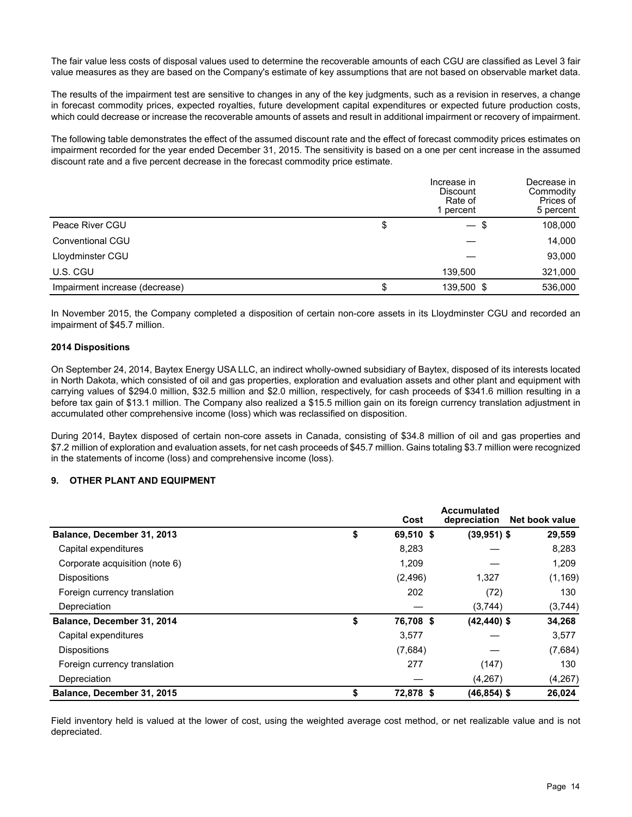The fair value less costs of disposal values used to determine the recoverable amounts of each CGU are classified as Level 3 fair value measures as they are based on the Company's estimate of key assumptions that are not based on observable market data.

The results of the impairment test are sensitive to changes in any of the key judgments, such as a revision in reserves, a change in forecast commodity prices, expected royalties, future development capital expenditures or expected future production costs, which could decrease or increase the recoverable amounts of assets and result in additional impairment or recovery of impairment.

The following table demonstrates the effect of the assumed discount rate and the effect of forecast commodity prices estimates on impairment recorded for the year ended December 31, 2015. The sensitivity is based on a one per cent increase in the assumed discount rate and a five percent decrease in the forecast commodity price estimate.

|                                | Increase in<br><b>Discount</b><br>Rate of<br>percent |     | Decrease in<br>Commodity<br>Prices of<br>5 percent |
|--------------------------------|------------------------------------------------------|-----|----------------------------------------------------|
| Peace River CGU                | \$                                                   | - 5 | 108,000                                            |
| <b>Conventional CGU</b>        |                                                      |     | 14,000                                             |
| Lloydminster CGU               |                                                      |     | 93,000                                             |
| U.S. CGU                       | 139.500                                              |     | 321,000                                            |
| Impairment increase (decrease) | 139,500 \$                                           |     | 536,000                                            |

In November 2015, the Company completed a disposition of certain non-core assets in its Lloydminster CGU and recorded an impairment of \$45.7 million.

### **2014 Dispositions**

On September 24, 2014, Baytex Energy USA LLC, an indirect wholly-owned subsidiary of Baytex, disposed of its interests located in North Dakota, which consisted of oil and gas properties, exploration and evaluation assets and other plant and equipment with carrying values of \$294.0 million, \$32.5 million and \$2.0 million, respectively, for cash proceeds of \$341.6 million resulting in a before tax gain of \$13.1 million. The Company also realized a \$15.5 million gain on its foreign currency translation adjustment in accumulated other comprehensive income (loss) which was reclassified on disposition.

During 2014, Baytex disposed of certain non-core assets in Canada, consisting of \$34.8 million of oil and gas properties and \$7.2 million of exploration and evaluation assets, for net cash proceeds of \$45.7 million. Gains totaling \$3.7 million were recognized in the statements of income (loss) and comprehensive income (loss).

### **9. OTHER PLANT AND EQUIPMENT**

|                                |                 | <b>Accumulated</b> |                |
|--------------------------------|-----------------|--------------------|----------------|
|                                | Cost            | depreciation       | Net book value |
| Balance, December 31, 2013     | \$<br>69,510 \$ | $(39,951)$ \$      | 29,559         |
| Capital expenditures           | 8,283           |                    | 8,283          |
| Corporate acquisition (note 6) | 1,209           |                    | 1,209          |
| <b>Dispositions</b>            | (2, 496)        | 1,327              | (1, 169)       |
| Foreign currency translation   | 202             | (72)               | 130            |
| Depreciation                   |                 | (3,744)            | (3,744)        |
| Balance, December 31, 2014     | \$<br>76,708 \$ | $(42, 440)$ \$     | 34,268         |
| Capital expenditures           | 3,577           |                    | 3,577          |
| <b>Dispositions</b>            | (7,684)         |                    | (7,684)        |
| Foreign currency translation   | 277             | (147)              | 130            |
| Depreciation                   |                 | (4,267)            | (4,267)        |
| Balance, December 31, 2015     | \$<br>72,878 \$ | $(46, 854)$ \$     | 26,024         |

Field inventory held is valued at the lower of cost, using the weighted average cost method, or net realizable value and is not depreciated.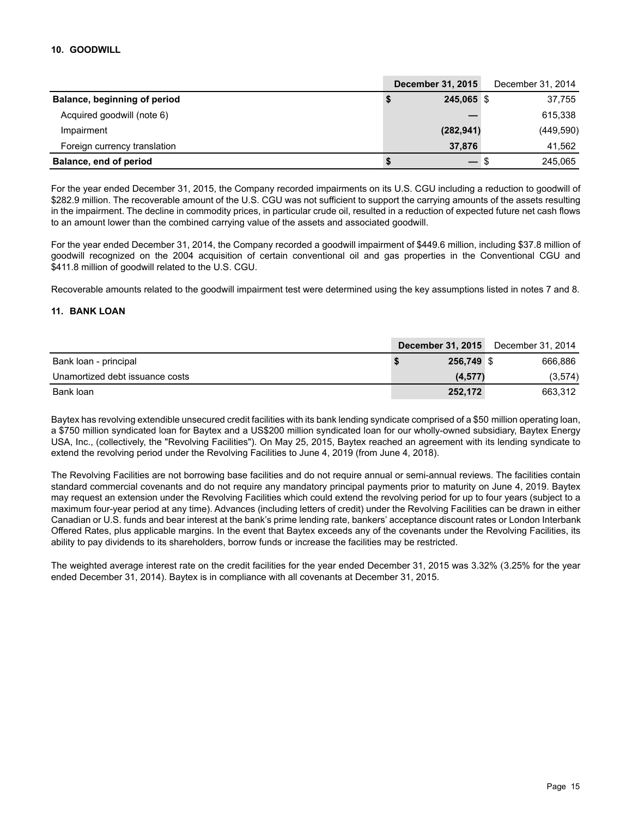### **10. GOODWILL**

|                              | <b>December 31, 2015</b> | December 31, 2014 |
|------------------------------|--------------------------|-------------------|
| Balance, beginning of period | 245,065 \$               | 37,755            |
| Acquired goodwill (note 6)   |                          | 615,338           |
| Impairment                   | (282, 941)               | (449, 590)        |
| Foreign currency translation | 37,876                   | 41.562            |
| Balance, end of period       | $\overline{\phantom{m}}$ | 245.065<br>- 86   |

For the year ended December 31, 2015, the Company recorded impairments on its U.S. CGU including a reduction to goodwill of \$282.9 million. The recoverable amount of the U.S. CGU was not sufficient to support the carrying amounts of the assets resulting in the impairment. The decline in commodity prices, in particular crude oil, resulted in a reduction of expected future net cash flows to an amount lower than the combined carrying value of the assets and associated goodwill.

For the year ended December 31, 2014, the Company recorded a goodwill impairment of \$449.6 million, including \$37.8 million of goodwill recognized on the 2004 acquisition of certain conventional oil and gas properties in the Conventional CGU and \$411.8 million of goodwill related to the U.S. CGU.

Recoverable amounts related to the goodwill impairment test were determined using the key assumptions listed in notes 7 and 8.

### **11. BANK LOAN**

|                                 | December 31, 2015 | December 31, 2014 |
|---------------------------------|-------------------|-------------------|
| Bank loan - principal           | 256.749 \$        | 666.886           |
| Unamortized debt issuance costs | (4, 577)          | (3,574)           |
| Bank loan                       | 252.172           | 663.312           |

Baytex has revolving extendible unsecured credit facilities with its bank lending syndicate comprised of a \$50 million operating loan, a \$750 million syndicated loan for Baytex and a US\$200 million syndicated loan for our wholly-owned subsidiary, Baytex Energy USA, Inc., (collectively, the "Revolving Facilities"). On May 25, 2015, Baytex reached an agreement with its lending syndicate to extend the revolving period under the Revolving Facilities to June 4, 2019 (from June 4, 2018).

The Revolving Facilities are not borrowing base facilities and do not require annual or semi-annual reviews. The facilities contain standard commercial covenants and do not require any mandatory principal payments prior to maturity on June 4, 2019. Baytex may request an extension under the Revolving Facilities which could extend the revolving period for up to four years (subject to a maximum four-year period at any time). Advances (including letters of credit) under the Revolving Facilities can be drawn in either Canadian or U.S. funds and bear interest at the bank's prime lending rate, bankers' acceptance discount rates or London Interbank Offered Rates, plus applicable margins. In the event that Baytex exceeds any of the covenants under the Revolving Facilities, its ability to pay dividends to its shareholders, borrow funds or increase the facilities may be restricted.

The weighted average interest rate on the credit facilities for the year ended December 31, 2015 was 3.32% (3.25% for the year ended December 31, 2014). Baytex is in compliance with all covenants at December 31, 2015.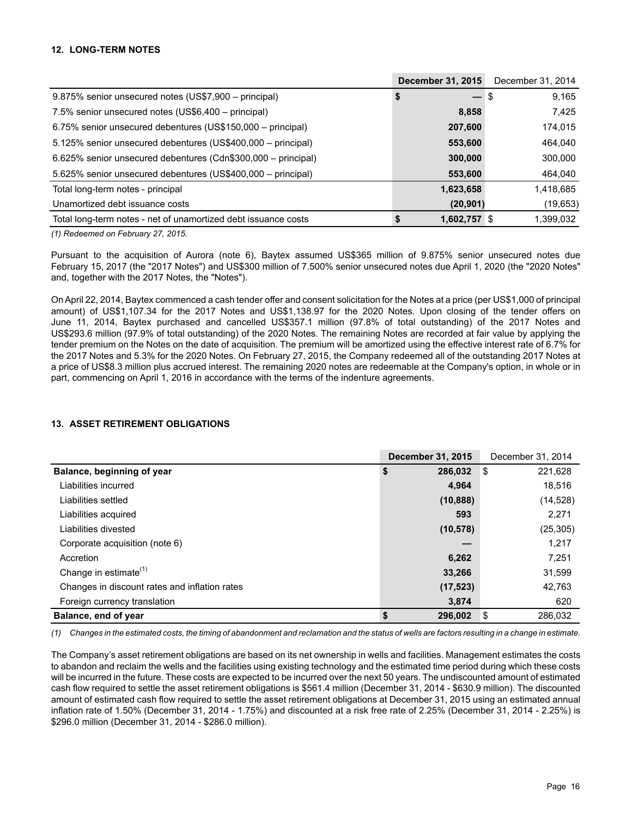### **12. LONG-TERM NOTES**

|                                                                | <b>December 31, 2015</b> | December 31, 2014 |
|----------------------------------------------------------------|--------------------------|-------------------|
| 9.875% senior unsecured notes (US\$7,900 - principal)          | $-$ \$<br>\$             | 9,165             |
| 7.5% senior unsecured notes (US\$6,400 - principal)            | 8,858                    | 7,425             |
| 6.75% senior unsecured debentures (US\$150,000 - principal)    | 207,600                  | 174,015           |
| 5.125% senior unsecured debentures (US\$400,000 – principal)   | 553,600                  | 464,040           |
| 6.625% senior unsecured debentures (Cdn\$300,000 – principal)  | 300,000                  | 300,000           |
| 5.625% senior unsecured debentures (US\$400,000 – principal)   | 553,600                  | 464,040           |
| Total long-term notes - principal                              | 1,623,658                | 1,418,685         |
| Unamortized debt issuance costs                                | (20, 901)                | (19,653)          |
| Total long-term notes - net of unamortized debt issuance costs | 1,602,757 \$             | 1,399,032         |

*(1) Redeemed on February 27, 2015.*

Pursuant to the acquisition of Aurora (note 6), Baytex assumed US\$365 million of 9.875% senior unsecured notes due February 15, 2017 (the "2017 Notes") and US\$300 million of 7.500% senior unsecured notes due April 1, 2020 (the "2020 Notes" and, together with the 2017 Notes, the "Notes").

On April 22, 2014, Baytex commenced a cash tender offer and consent solicitation for the Notes at a price (per US\$1,000 of principal amount) of US\$1,107.34 for the 2017 Notes and US\$1,138.97 for the 2020 Notes. Upon closing of the tender offers on June 11, 2014, Baytex purchased and cancelled US\$357.1 million (97.8% of total outstanding) of the 2017 Notes and US\$293.6 million (97.9% of total outstanding) of the 2020 Notes. The remaining Notes are recorded at fair value by applying the tender premium on the Notes on the date of acquisition. The premium will be amortized using the effective interest rate of 6.7% for the 2017 Notes and 5.3% for the 2020 Notes. On February 27, 2015, the Company redeemed all of the outstanding 2017 Notes at a price of US\$8.3 million plus accrued interest. The remaining 2020 notes are redeemable at the Company's option, in whole or in part, commencing on April 1, 2016 in accordance with the terms of the indenture agreements.

### **13. ASSET RETIREMENT OBLIGATIONS**

|                                               | <b>December 31, 2015</b> | December 31, 2014 |
|-----------------------------------------------|--------------------------|-------------------|
| Balance, beginning of year                    | 286.032<br>\$            | 221,628<br>S      |
| Liabilities incurred                          | 4,964                    | 18,516            |
| Liabilities settled                           | (10, 888)                | (14, 528)         |
| Liabilities acquired                          | 593                      | 2.271             |
| Liabilities divested                          | (10, 578)                | (25, 305)         |
| Corporate acquisition (note 6)                |                          | 1,217             |
| Accretion                                     | 6,262                    | 7,251             |
| Change in estimate $(1)$                      | 33,266                   | 31,599            |
| Changes in discount rates and inflation rates | (17, 523)                | 42,763            |
| Foreign currency translation                  | 3,874                    | 620               |
| Balance, end of year                          | 296.002<br>S             | \$<br>286.032     |

*(1) Changes in the estimated costs, the timing of abandonment and reclamation and the status of wells are factors resulting in a change in estimate.*

The Company's asset retirement obligations are based on its net ownership in wells and facilities. Management estimates the costs to abandon and reclaim the wells and the facilities using existing technology and the estimated time period during which these costs will be incurred in the future. These costs are expected to be incurred over the next 50 years. The undiscounted amount of estimated cash flow required to settle the asset retirement obligations is \$561.4 million (December 31, 2014 - \$630.9 million). The discounted amount of estimated cash flow required to settle the asset retirement obligations at December 31, 2015 using an estimated annual inflation rate of 1.50% (December 31, 2014 - 1.75%) and discounted at a risk free rate of 2.25% (December 31, 2014 - 2.25%) is \$296.0 million (December 31, 2014 - \$286.0 million).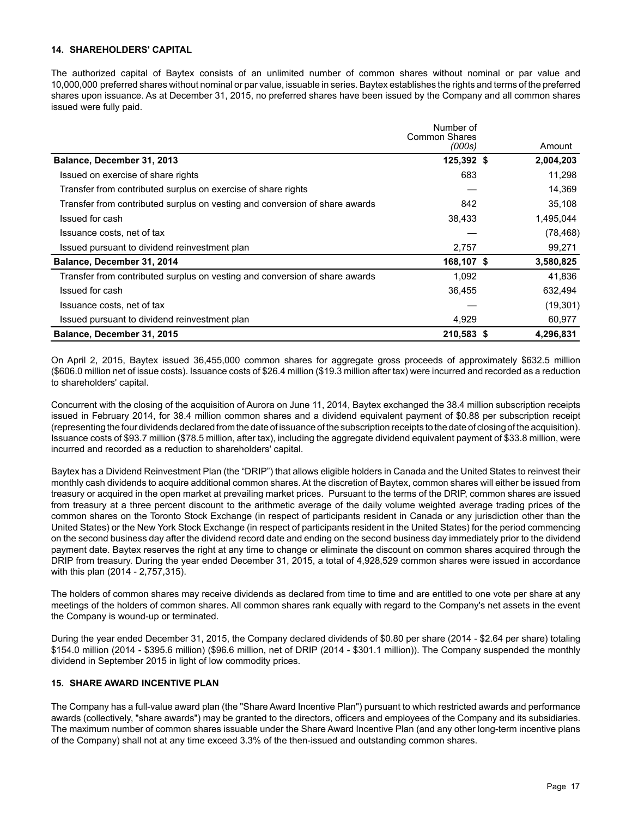### **14. SHAREHOLDERS' CAPITAL**

The authorized capital of Baytex consists of an unlimited number of common shares without nominal or par value and 10,000,000 preferred shares without nominal or par value, issuable in series. Baytex establishes the rights and terms of the preferred shares upon issuance. As at December 31, 2015, no preferred shares have been issued by the Company and all common shares issued were fully paid.

|                                                                             | Number of                      |           |
|-----------------------------------------------------------------------------|--------------------------------|-----------|
|                                                                             | <b>Common Shares</b><br>(000s) | Amount    |
| Balance, December 31, 2013                                                  | 125,392 \$                     | 2,004,203 |
| Issued on exercise of share rights                                          | 683                            | 11,298    |
| Transfer from contributed surplus on exercise of share rights               |                                | 14,369    |
| Transfer from contributed surplus on vesting and conversion of share awards | 842                            | 35,108    |
| Issued for cash                                                             | 38,433                         | 1,495,044 |
| Issuance costs, net of tax                                                  |                                | (78, 468) |
| Issued pursuant to dividend reinvestment plan                               | 2,757                          | 99,271    |
| Balance, December 31, 2014                                                  | 168,107 \$                     | 3,580,825 |
| Transfer from contributed surplus on vesting and conversion of share awards | 1.092                          | 41,836    |
| Issued for cash                                                             | 36,455                         | 632,494   |
| Issuance costs, net of tax                                                  |                                | (19, 301) |
| Issued pursuant to dividend reinvestment plan                               | 4,929                          | 60,977    |
| Balance, December 31, 2015                                                  | 210,583 \$                     | 4,296,831 |

On April 2, 2015, Baytex issued 36,455,000 common shares for aggregate gross proceeds of approximately \$632.5 million (\$606.0 million net of issue costs). Issuance costs of \$26.4 million (\$19.3 million after tax) were incurred and recorded as a reduction to shareholders' capital.

Concurrent with the closing of the acquisition of Aurora on June 11, 2014, Baytex exchanged the 38.4 million subscription receipts issued in February 2014, for 38.4 million common shares and a dividend equivalent payment of \$0.88 per subscription receipt (representing the four dividends declared from the date of issuance of the subscription receipts to the date of closing of the acquisition). Issuance costs of \$93.7 million (\$78.5 million, after tax), including the aggregate dividend equivalent payment of \$33.8 million, were incurred and recorded as a reduction to shareholders' capital.

Baytex has a Dividend Reinvestment Plan (the "DRIP") that allows eligible holders in Canada and the United States to reinvest their monthly cash dividends to acquire additional common shares. At the discretion of Baytex, common shares will either be issued from treasury or acquired in the open market at prevailing market prices. Pursuant to the terms of the DRIP, common shares are issued from treasury at a three percent discount to the arithmetic average of the daily volume weighted average trading prices of the common shares on the Toronto Stock Exchange (in respect of participants resident in Canada or any jurisdiction other than the United States) or the New York Stock Exchange (in respect of participants resident in the United States) for the period commencing on the second business day after the dividend record date and ending on the second business day immediately prior to the dividend payment date. Baytex reserves the right at any time to change or eliminate the discount on common shares acquired through the DRIP from treasury. During the year ended December 31, 2015, a total of 4,928,529 common shares were issued in accordance with this plan (2014 - 2,757,315).

The holders of common shares may receive dividends as declared from time to time and are entitled to one vote per share at any meetings of the holders of common shares. All common shares rank equally with regard to the Company's net assets in the event the Company is wound-up or terminated.

During the year ended December 31, 2015, the Company declared dividends of \$0.80 per share (2014 - \$2.64 per share) totaling \$154.0 million (2014 - \$395.6 million) (\$96.6 million, net of DRIP (2014 - \$301.1 million)). The Company suspended the monthly dividend in September 2015 in light of low commodity prices.

### **15. SHARE AWARD INCENTIVE PLAN**

The Company has a full-value award plan (the "Share Award Incentive Plan") pursuant to which restricted awards and performance awards (collectively, "share awards") may be granted to the directors, officers and employees of the Company and its subsidiaries. The maximum number of common shares issuable under the Share Award Incentive Plan (and any other long-term incentive plans of the Company) shall not at any time exceed 3.3% of the then-issued and outstanding common shares.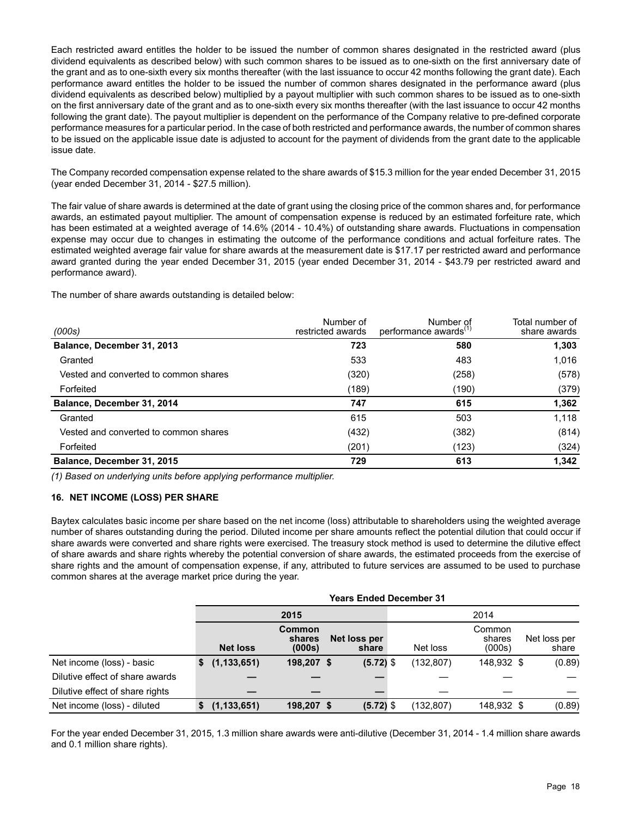Each restricted award entitles the holder to be issued the number of common shares designated in the restricted award (plus dividend equivalents as described below) with such common shares to be issued as to one-sixth on the first anniversary date of the grant and as to one-sixth every six months thereafter (with the last issuance to occur 42 months following the grant date). Each performance award entitles the holder to be issued the number of common shares designated in the performance award (plus dividend equivalents as described below) multiplied by a payout multiplier with such common shares to be issued as to one-sixth on the first anniversary date of the grant and as to one-sixth every six months thereafter (with the last issuance to occur 42 months following the grant date). The payout multiplier is dependent on the performance of the Company relative to pre-defined corporate performance measures for a particular period. In the case of both restricted and performance awards, the number of common shares to be issued on the applicable issue date is adjusted to account for the payment of dividends from the grant date to the applicable issue date.

The Company recorded compensation expense related to the share awards of \$15.3 million for the year ended December 31, 2015 (year ended December 31, 2014 - \$27.5 million).

The fair value of share awards is determined at the date of grant using the closing price of the common shares and, for performance awards, an estimated payout multiplier. The amount of compensation expense is reduced by an estimated forfeiture rate, which has been estimated at a weighted average of 14.6% (2014 - 10.4%) of outstanding share awards. Fluctuations in compensation expense may occur due to changes in estimating the outcome of the performance conditions and actual forfeiture rates. The estimated weighted average fair value for share awards at the measurement date is \$17.17 per restricted award and performance award granted during the year ended December 31, 2015 (year ended December 31, 2014 - \$43.79 per restricted award and performance award).

The number of share awards outstanding is detailed below:

| (000s)                                | Number of<br>restricted awards | Number of<br>performance awards <sup>(1)</sup> | Total number of<br>share awards |
|---------------------------------------|--------------------------------|------------------------------------------------|---------------------------------|
| Balance, December 31, 2013            | 723                            | 580                                            | 1,303                           |
| Granted                               | 533                            | 483                                            | 1,016                           |
| Vested and converted to common shares | (320)                          | (258)                                          | (578)                           |
| Forfeited                             | (189)                          | (190)                                          | (379)                           |
| Balance, December 31, 2014            | 747                            | 615                                            | 1,362                           |
| Granted                               | 615                            | 503                                            | 1,118                           |
| Vested and converted to common shares | (432)                          | (382)                                          | (814)                           |
| Forfeited                             | (201)                          | (123)                                          | (324)                           |
| Balance, December 31, 2015            | 729                            | 613                                            | 1,342                           |

*(1) Based on underlying units before applying performance multiplier.*

## **16. NET INCOME (LOSS) PER SHARE**

Baytex calculates basic income per share based on the net income (loss) attributable to shareholders using the weighted average number of shares outstanding during the period. Diluted income per share amounts reflect the potential dilution that could occur if share awards were converted and share rights were exercised. The treasury stock method is used to determine the dilutive effect of share awards and share rights whereby the potential conversion of share awards, the estimated proceeds from the exercise of share rights and the amount of compensation expense, if any, attributed to future services are assumed to be used to purchase common shares at the average market price during the year.

|                                 |    | <b>Years Ended December 31</b> |                            |                       |  |            |                            |  |                       |  |
|---------------------------------|----|--------------------------------|----------------------------|-----------------------|--|------------|----------------------------|--|-----------------------|--|
|                                 |    |                                | 2015                       |                       |  |            | 2014                       |  |                       |  |
|                                 |    | <b>Net loss</b>                | Common<br>shares<br>(000s) | Net loss per<br>share |  | Net loss   | Common<br>shares<br>(000s) |  | Net loss per<br>share |  |
| Net income (loss) - basic       | S. | (1, 133, 651)                  | 198,207 \$                 | $(5.72)$ \$           |  | (132, 807) | 148,932 \$                 |  | (0.89)                |  |
| Dilutive effect of share awards |    |                                |                            |                       |  |            |                            |  |                       |  |
| Dilutive effect of share rights |    |                                |                            |                       |  |            |                            |  |                       |  |
| Net income (loss) - diluted     |    | (1, 133, 651)                  | 198,207                    | $(5.72)$ \$<br>- 5    |  | (132,807)  | 148,932 \$                 |  | (0.89)                |  |

For the year ended December 31, 2015, 1.3 million share awards were anti-dilutive (December 31, 2014 - 1.4 million share awards and 0.1 million share rights).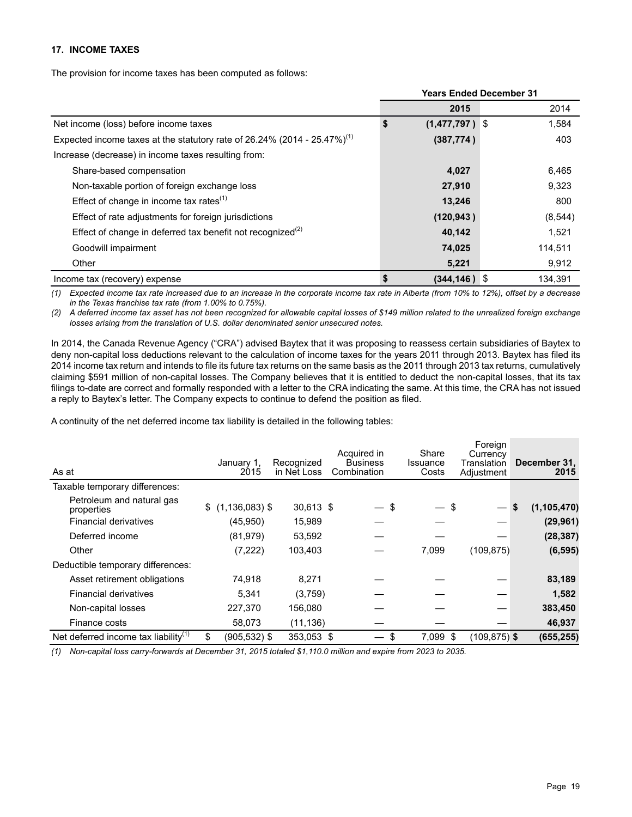## **17. INCOME TAXES**

The provision for income taxes has been computed as follows:

|                                                                                      | <b>Years Ended December 31</b> |                  |  |          |  |
|--------------------------------------------------------------------------------------|--------------------------------|------------------|--|----------|--|
|                                                                                      |                                | 2015             |  | 2014     |  |
| Net income (loss) before income taxes                                                | \$                             | $(1,477,797)$ \$ |  | 1,584    |  |
| Expected income taxes at the statutory rate of 26.24% (2014 - 25.47%) <sup>(1)</sup> |                                | (387, 774)       |  | 403      |  |
| Increase (decrease) in income taxes resulting from:                                  |                                |                  |  |          |  |
| Share-based compensation                                                             |                                | 4,027            |  | 6,465    |  |
| Non-taxable portion of foreign exchange loss                                         |                                | 27,910           |  | 9,323    |  |
| Effect of change in income tax rates $^{(1)}$                                        |                                | 13,246           |  | 800      |  |
| Effect of rate adjustments for foreign jurisdictions                                 |                                | (120, 943)       |  | (8, 544) |  |
| Effect of change in deferred tax benefit not recognized <sup>(2)</sup>               |                                | 40,142           |  | 1,521    |  |
| Goodwill impairment                                                                  |                                | 74,025           |  | 114,511  |  |
| Other                                                                                |                                | 5,221            |  | 9,912    |  |
| Income tax (recovery) expense                                                        |                                | $(344, 146)$ \$  |  | 134.391  |  |

*(1) Expected income tax rate increased due to an increase in the corporate income tax rate in Alberta (from 10% to 12%), offset by a decrease in the Texas franchise tax rate (from 1.00% to 0.75%).*

*(2) A deferred income tax asset has not been recognized for allowable capital losses of \$149 million related to the unrealized foreign exchange losses arising from the translation of U.S. dollar denominated senior unsecured notes.*

In 2014, the Canada Revenue Agency ("CRA") advised Baytex that it was proposing to reassess certain subsidiaries of Baytex to deny non-capital loss deductions relevant to the calculation of income taxes for the years 2011 through 2013. Baytex has filed its 2014 income tax return and intends to file its future tax returns on the same basis as the 2011 through 2013 tax returns, cumulatively claiming \$591 million of non-capital losses. The Company believes that it is entitled to deduct the non-capital losses, that its tax filings to-date are correct and formally responded with a letter to the CRA indicating the same. At this time, the CRA has not issued a reply to Baytex's letter. The Company expects to continue to defend the position as filed.

A continuity of the net deferred income tax liability is detailed in the following tables:

| As at                                   | January 1,<br>2015       | Recognized<br>in Net Loss | Acquired in<br><b>Business</b><br>Combination | Share<br>Issuance<br>Costs |     | Foreign<br>Currency<br>Translation<br>Adjustment | December 31.<br>2015 |
|-----------------------------------------|--------------------------|---------------------------|-----------------------------------------------|----------------------------|-----|--------------------------------------------------|----------------------|
| Taxable temporary differences:          |                          |                           |                                               |                            |     |                                                  |                      |
| Petroleum and natural gas<br>properties | \$<br>$(1, 136, 083)$ \$ | 30,613 \$                 | — \$                                          | $\overline{\phantom{0}}$   | -\$ |                                                  | \$<br>(1, 105, 470)  |
| <b>Financial derivatives</b>            | (45, 950)                | 15,989                    |                                               |                            |     |                                                  | (29, 961)            |
| Deferred income                         | (81, 979)                | 53,592                    |                                               |                            |     |                                                  | (28, 387)            |
| Other                                   | (7, 222)                 | 103,403                   |                                               | 7,099                      |     | (109, 875)                                       | (6, 595)             |
| Deductible temporary differences:       |                          |                           |                                               |                            |     |                                                  |                      |
| Asset retirement obligations            | 74,918                   | 8,271                     |                                               |                            |     |                                                  | 83,189               |
| <b>Financial derivatives</b>            | 5.341                    | (3,759)                   |                                               |                            |     |                                                  | 1,582                |
| Non-capital losses                      | 227,370                  | 156,080                   |                                               |                            |     |                                                  | 383,450              |
| Finance costs                           | 58,073                   | (11, 136)                 |                                               |                            |     |                                                  | 46,937               |
| Net deferred income tax liability $(1)$ | \$<br>$(905, 532)$ \$    | 353,053 \$                |                                               | \$<br>7,099                | -\$ | $(109, 875)$ \$                                  | (655, 255)           |

*(1) Non-capital loss carry-forwards at December 31, 2015 totaled \$1,110.0 million and expire from 2023 to 2035.*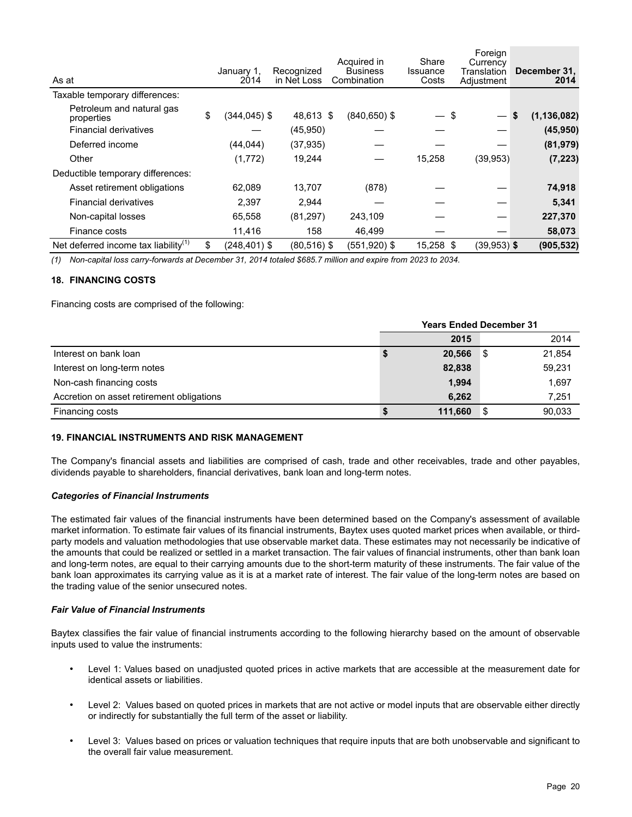| As at                                            | January 1,<br>2014    | Recognized<br>in Net Loss | Acquired in<br><b>Business</b><br>Combination | Share<br>Issuance<br>Costs | Foreign<br>Currency<br>Translation<br>Adjustment | December 31,<br>2014 |
|--------------------------------------------------|-----------------------|---------------------------|-----------------------------------------------|----------------------------|--------------------------------------------------|----------------------|
| Taxable temporary differences:                   |                       |                           |                                               |                            |                                                  |                      |
| Petroleum and natural gas<br>properties          | \$<br>$(344, 045)$ \$ | 48.613 \$                 | $(840, 650)$ \$                               | $-$ \$                     |                                                  | \$<br>(1, 136, 082)  |
| <b>Financial derivatives</b>                     |                       | (45, 950)                 |                                               |                            |                                                  | (45, 950)            |
| Deferred income                                  | (44, 044)             | (37, 935)                 |                                               |                            |                                                  | (81, 979)            |
| Other                                            | (1, 772)              | 19,244                    |                                               | 15,258                     | (39, 953)                                        | (7, 223)             |
| Deductible temporary differences:                |                       |                           |                                               |                            |                                                  |                      |
| Asset retirement obligations                     | 62,089                | 13.707                    | (878)                                         |                            |                                                  | 74,918               |
| Financial derivatives                            | 2,397                 | 2.944                     |                                               |                            |                                                  | 5,341                |
| Non-capital losses                               | 65,558                | (81, 297)                 | 243,109                                       |                            |                                                  | 227,370              |
| Finance costs                                    | 11,416                | 158                       | 46.499                                        |                            |                                                  | 58,073               |
| Net deferred income tax liability <sup>(1)</sup> | \$<br>$(248, 401)$ \$ | $(80,516)$ \$             | (551,920) \$                                  | 15,258 \$                  | $(39,953)$ \$                                    | (905, 532)           |

*(1) Non-capital loss carry-forwards at December 31, 2014 totaled \$685.7 million and expire from 2023 to 2034.*

### **18. FINANCING COSTS**

Financing costs are comprised of the following:

|                                           | <b>Years Ended December 31</b> |         |    |        |  |
|-------------------------------------------|--------------------------------|---------|----|--------|--|
|                                           |                                | 2015    |    | 2014   |  |
| Interest on bank loan                     |                                | 20,566  | \$ | 21,854 |  |
| Interest on long-term notes               |                                | 82,838  |    | 59,231 |  |
| Non-cash financing costs                  |                                | 1,994   |    | 1,697  |  |
| Accretion on asset retirement obligations |                                | 6,262   |    | 7.251  |  |
| Financing costs                           |                                | 111,660 | S  | 90,033 |  |

### **19. FINANCIAL INSTRUMENTS AND RISK MANAGEMENT**

The Company's financial assets and liabilities are comprised of cash, trade and other receivables, trade and other payables, dividends payable to shareholders, financial derivatives, bank loan and long-term notes.

### *Categories of Financial Instruments*

The estimated fair values of the financial instruments have been determined based on the Company's assessment of available market information. To estimate fair values of its financial instruments, Baytex uses quoted market prices when available, or thirdparty models and valuation methodologies that use observable market data. These estimates may not necessarily be indicative of the amounts that could be realized or settled in a market transaction. The fair values of financial instruments, other than bank loan and long-term notes, are equal to their carrying amounts due to the short-term maturity of these instruments. The fair value of the bank loan approximates its carrying value as it is at a market rate of interest. The fair value of the long-term notes are based on the trading value of the senior unsecured notes.

#### *Fair Value of Financial Instruments*

Baytex classifies the fair value of financial instruments according to the following hierarchy based on the amount of observable inputs used to value the instruments:

- Level 1: Values based on unadjusted quoted prices in active markets that are accessible at the measurement date for identical assets or liabilities.
- Level 2: Values based on quoted prices in markets that are not active or model inputs that are observable either directly or indirectly for substantially the full term of the asset or liability.
- Level 3: Values based on prices or valuation techniques that require inputs that are both unobservable and significant to the overall fair value measurement.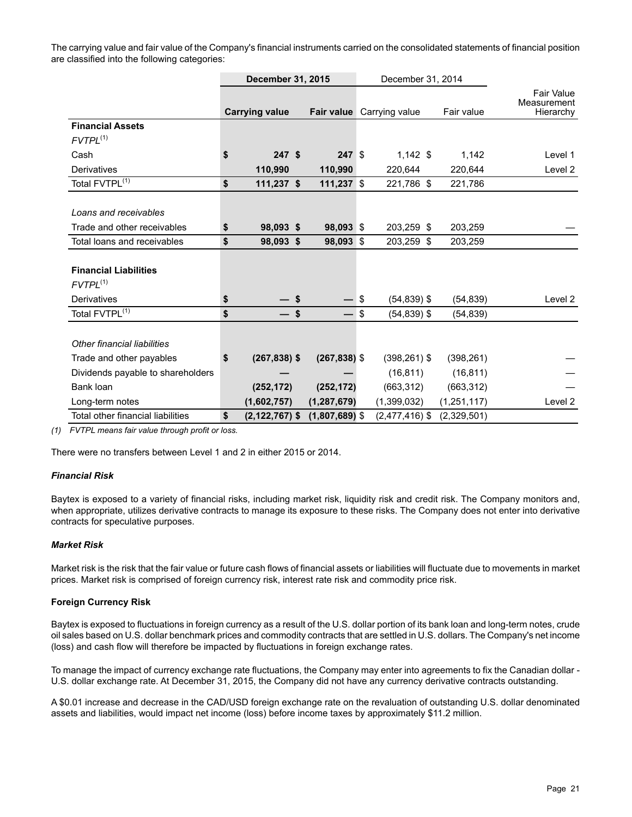The carrying value and fair value of the Company's financial instruments carried on the consolidated statements of financial position are classified into the following categories:

|                                               | <b>December 31, 2015</b> |                  |      | December 31, 2014                |               |                                        |
|-----------------------------------------------|--------------------------|------------------|------|----------------------------------|---------------|----------------------------------------|
|                                               | <b>Carrying value</b>    |                  |      | <b>Fair value</b> Carrying value | Fair value    | Fair Value<br>Measurement<br>Hierarchy |
| <b>Financial Assets</b>                       |                          |                  |      |                                  |               |                                        |
| $FVTPL^{(1)}$                                 |                          |                  |      |                                  |               |                                        |
| Cash                                          | \$<br>247S               | 247S             |      | $1,142$ \$                       | 1,142         | Level 1                                |
| Derivatives                                   | 110,990                  | 110.990          |      | 220.644                          | 220,644       | Level 2                                |
| Total FVTPL <sup>(1)</sup>                    | \$<br>111,237 \$         | 111,237 \$       |      | 221,786 \$                       | 221,786       |                                        |
|                                               |                          |                  |      |                                  |               |                                        |
| Loans and receivables                         |                          |                  |      |                                  |               |                                        |
| Trade and other receivables                   | \$<br>98,093 \$          | 98,093 \$        |      | 203,259 \$                       | 203,259       |                                        |
| Total loans and receivables                   | \$<br>98,093 \$          | 98,093 \$        |      | 203,259 \$                       | 203,259       |                                        |
| <b>Financial Liabilities</b><br>$FVTPL^{(1)}$ |                          |                  |      |                                  |               |                                        |
| Derivatives                                   | \$<br>-\$                |                  | - \$ | $(54, 839)$ \$                   | (54, 839)     | Level 2                                |
| Total FVTPL <sup>(1)</sup>                    | \$<br>$-$ \$             |                  | \$   | $(54, 839)$ \$                   | (54, 839)     |                                        |
| Other financial liabilities                   |                          |                  |      |                                  |               |                                        |
| Trade and other payables                      | \$<br>$(267, 838)$ \$    | $(267, 838)$ \$  |      | $(398, 261)$ \$                  | (398, 261)    |                                        |
| Dividends payable to shareholders             |                          |                  |      | (16, 811)                        | (16, 811)     |                                        |
| Bank loan                                     | (252, 172)               | (252, 172)       |      | (663, 312)                       | (663, 312)    |                                        |
| Long-term notes                               | (1,602,757)              | (1, 287, 679)    |      | (1,399,032)                      | (1, 251, 117) | Level 2                                |
| Total other financial liabilities             | \$<br>$(2, 122, 767)$ \$ | $(1,807,689)$ \$ |      | $(2,477,416)$ \$                 | (2,329,501)   |                                        |

*(1) FVTPL means fair value through profit or loss.*

There were no transfers between Level 1 and 2 in either 2015 or 2014.

### *Financial Risk*

Baytex is exposed to a variety of financial risks, including market risk, liquidity risk and credit risk. The Company monitors and, when appropriate, utilizes derivative contracts to manage its exposure to these risks. The Company does not enter into derivative contracts for speculative purposes.

### *Market Risk*

Market risk is the risk that the fair value or future cash flows of financial assets or liabilities will fluctuate due to movements in market prices. Market risk is comprised of foreign currency risk, interest rate risk and commodity price risk.

### **Foreign Currency Risk**

Baytex is exposed to fluctuations in foreign currency as a result of the U.S. dollar portion of its bank loan and long-term notes, crude oil sales based on U.S. dollar benchmark prices and commodity contracts that are settled in U.S. dollars. The Company's net income (loss) and cash flow will therefore be impacted by fluctuations in foreign exchange rates.

To manage the impact of currency exchange rate fluctuations, the Company may enter into agreements to fix the Canadian dollar - U.S. dollar exchange rate. At December 31, 2015, the Company did not have any currency derivative contracts outstanding.

A \$0.01 increase and decrease in the CAD/USD foreign exchange rate on the revaluation of outstanding U.S. dollar denominated assets and liabilities, would impact net income (loss) before income taxes by approximately \$11.2 million.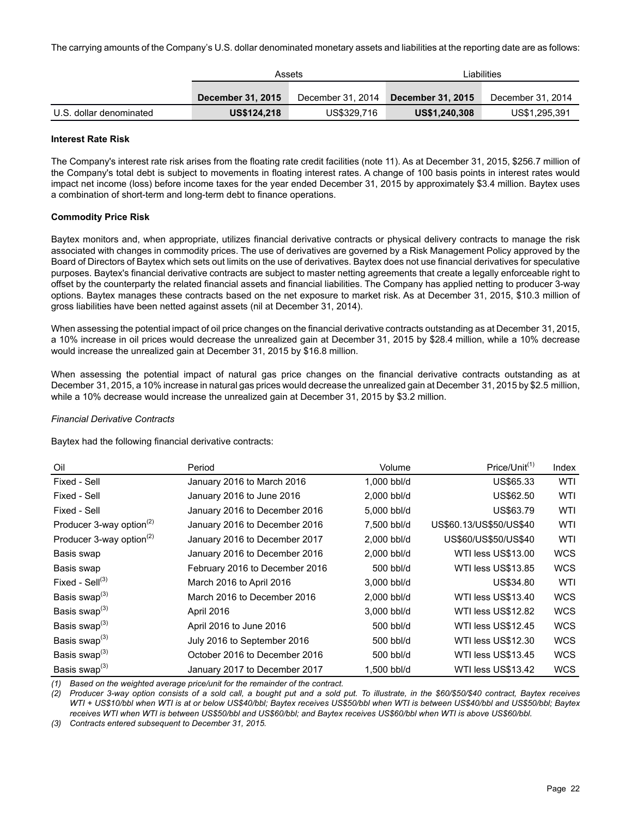The carrying amounts of the Company's U.S. dollar denominated monetary assets and liabilities at the reporting date are as follows:

|                         | Assets             |                   |                          | Liabilities       |  |
|-------------------------|--------------------|-------------------|--------------------------|-------------------|--|
|                         | December 31, 2015  | December 31. 2014 | <b>December 31, 2015</b> | December 31, 2014 |  |
| U.S. dollar denominated | <b>US\$124.218</b> | US\$329.716       | US\$1,240,308            | US\$1,295,391     |  |

### **Interest Rate Risk**

The Company's interest rate risk arises from the floating rate credit facilities (note 11). As at December 31, 2015, \$256.7 million of the Company's total debt is subject to movements in floating interest rates. A change of 100 basis points in interest rates would impact net income (loss) before income taxes for the year ended December 31, 2015 by approximately \$3.4 million. Baytex uses a combination of short-term and long-term debt to finance operations.

### **Commodity Price Risk**

Baytex monitors and, when appropriate, utilizes financial derivative contracts or physical delivery contracts to manage the risk associated with changes in commodity prices. The use of derivatives are governed by a Risk Management Policy approved by the Board of Directors of Baytex which sets out limits on the use of derivatives. Baytex does not use financial derivatives for speculative purposes. Baytex's financial derivative contracts are subject to master netting agreements that create a legally enforceable right to offset by the counterparty the related financial assets and financial liabilities. The Company has applied netting to producer 3-way options. Baytex manages these contracts based on the net exposure to market risk. As at December 31, 2015, \$10.3 million of gross liabilities have been netted against assets (nil at December 31, 2014).

When assessing the potential impact of oil price changes on the financial derivative contracts outstanding as at December 31, 2015, a 10% increase in oil prices would decrease the unrealized gain at December 31, 2015 by \$28.4 million, while a 10% decrease would increase the unrealized gain at December 31, 2015 by \$16.8 million.

When assessing the potential impact of natural gas price changes on the financial derivative contracts outstanding as at December 31, 2015, a 10% increase in natural gas prices would decrease the unrealized gain at December 31, 2015 by \$2.5 million, while a 10% decrease would increase the unrealized gain at December 31, 2015 by \$3.2 million.

### *Financial Derivative Contracts*

Baytex had the following financial derivative contracts:

| Oil                         | Period                         | Volume      | Price/Unit <sup>(1)</sup> | Index      |
|-----------------------------|--------------------------------|-------------|---------------------------|------------|
| Fixed - Sell                | January 2016 to March 2016     | 1,000 bbl/d | US\$65.33                 | <b>WTI</b> |
| Fixed - Sell                | January 2016 to June 2016      | 2,000 bbl/d | US\$62.50                 | <b>WTI</b> |
| Fixed - Sell                | January 2016 to December 2016  | 5,000 bbl/d | US\$63.79                 | WTI        |
| Producer 3-way option $(2)$ | January 2016 to December 2016  | 7,500 bbl/d | US\$60.13/US\$50/US\$40   | WTI        |
| Producer 3-way option $(2)$ | January 2016 to December 2017  | 2,000 bbl/d | US\$60/US\$50/US\$40      | <b>WTI</b> |
| Basis swap                  | January 2016 to December 2016  | 2,000 bbl/d | WTI less US\$13.00        | <b>WCS</b> |
| Basis swap                  | February 2016 to December 2016 | 500 bbl/d   | WTI less US\$13.85        | <b>WCS</b> |
| Fixed - Sell $^{(3)}$       | March 2016 to April 2016       | 3,000 bbl/d | US\$34.80                 | WTI        |
| Basis swap <sup>(3)</sup>   | March 2016 to December 2016    | 2,000 bbl/d | WTI less US\$13.40        | <b>WCS</b> |
| Basis swap $^{(3)}$         | April 2016                     | 3.000 bbl/d | WTI less US\$12.82        | <b>WCS</b> |
| Basis swap $^{(3)}$         | April 2016 to June 2016        | 500 bbl/d   | WTI less US\$12.45        | <b>WCS</b> |
| Basis swap $^{(3)}$         | July 2016 to September 2016    | 500 bbl/d   | WTI less US\$12.30        | <b>WCS</b> |
| Basis swap $^{(3)}$         | October 2016 to December 2016  | 500 bbl/d   | WTI less US\$13.45        | <b>WCS</b> |
| Basis swap $^{(3)}$         | January 2017 to December 2017  | 1,500 bbl/d | WTI less US\$13.42        | <b>WCS</b> |

*(1) Based on the weighted average price/unit for the remainder of the contract.* 

*(2) Producer 3-way option consists of a sold call, a bought put and a sold put. To illustrate, in the \$60/\$50/\$40 contract, Baytex receives WTI + US\$10/bbl when WTI is at or below US\$40/bbl; Baytex receives US\$50/bbl when WTI is between US\$40/bbl and US\$50/bbl; Baytex receives WTI when WTI is between US\$50/bbl and US\$60/bbl; and Baytex receives US\$60/bbl when WTI is above US\$60/bbl.*

*(3) Contracts entered subsequent to December 31, 2015.*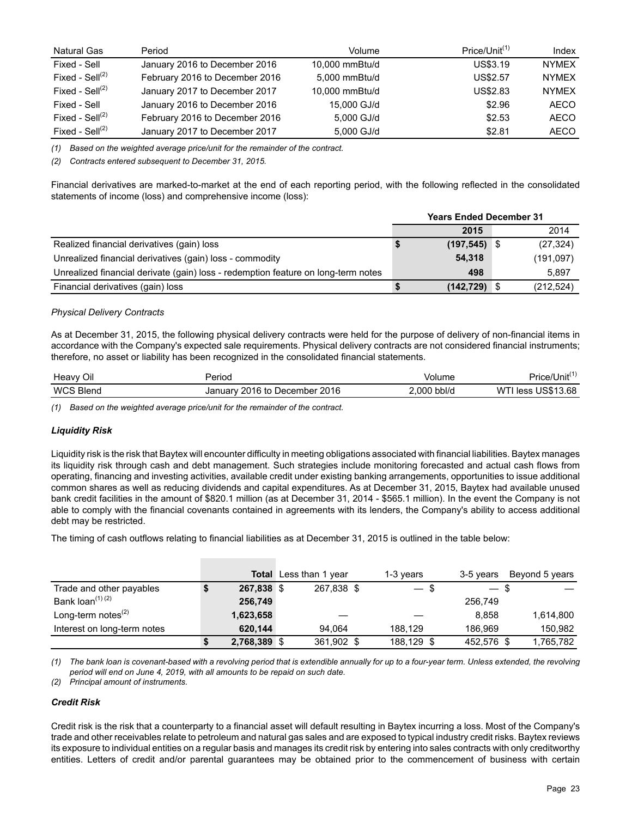| Natural Gas           | Period                         | Volume         | $Price/Unit^{(1)}$ | Index        |
|-----------------------|--------------------------------|----------------|--------------------|--------------|
| Fixed - Sell          | January 2016 to December 2016  | 10,000 mmBtu/d | <b>US\$3.19</b>    | <b>NYMEX</b> |
| Fixed - Sell $(2)$    | February 2016 to December 2016 | 5,000 mmBtu/d  | <b>US\$2.57</b>    | <b>NYMEX</b> |
| Fixed - Sell $^{(2)}$ | January 2017 to December 2017  | 10,000 mmBtu/d | US\$2.83           | <b>NYMEX</b> |
| Fixed - Sell          | January 2016 to December 2016  | 15,000 GJ/d    | \$2.96             | AECO         |
| Fixed - Sell $^{(2)}$ | February 2016 to December 2016 | 5,000 GJ/d     | \$2.53             | AECO         |
| Fixed - Sell $^{(2)}$ | January 2017 to December 2017  | 5,000 GJ/d     | \$2.81             | <b>AECO</b>  |

*(1) Based on the weighted average price/unit for the remainder of the contract.*

*(2) Contracts entered subsequent to December 31, 2015.*

Financial derivatives are marked-to-market at the end of each reporting period, with the following reflected in the consolidated statements of income (loss) and comprehensive income (loss):

|                                                                                   | <b>Years Ended December 31</b> |  |            |  |
|-----------------------------------------------------------------------------------|--------------------------------|--|------------|--|
|                                                                                   | 2015                           |  | 2014       |  |
| Realized financial derivatives (gain) loss                                        | $(197, 545)$ \$                |  | (27, 324)  |  |
| Unrealized financial derivatives (gain) loss - commodity                          | 54,318                         |  | (191,097)  |  |
| Unrealized financial derivate (gain) loss - redemption feature on long-term notes | 498                            |  | 5.897      |  |
| Financial derivatives (gain) loss                                                 | (142, 729)                     |  | (212, 524) |  |

#### *Physical Delivery Contracts*

As at December 31, 2015, the following physical delivery contracts were held for the purpose of delivery of non-financial items in accordance with the Company's expected sale requirements. Physical delivery contracts are not considered financial instruments; therefore, no asset or liability has been recognized in the consolidated financial statements.

| Oil<br>Heavy | Period                              | Volume        | ⊃rice/Unit                        |
|--------------|-------------------------------------|---------------|-----------------------------------|
| WCS Blend    | December 2016<br>2016 to<br>Januarv | bbl/c<br>.000 | <b>US\$1</b><br>3.68<br>less<br>w |

*(1) Based on the weighted average price/unit for the remainder of the contract.* 

### *Liquidity Risk*

Liquidity risk is the risk that Baytex will encounter difficulty in meeting obligations associated with financial liabilities. Baytex manages its liquidity risk through cash and debt management. Such strategies include monitoring forecasted and actual cash flows from operating, financing and investing activities, available credit under existing banking arrangements, opportunities to issue additional common shares as well as reducing dividends and capital expenditures. As at December 31, 2015, Baytex had available unused bank credit facilities in the amount of \$820.1 million (as at December 31, 2014 - \$565.1 million). In the event the Company is not able to comply with the financial covenants contained in agreements with its lenders, the Company's ability to access additional debt may be restricted.

The timing of cash outflows relating to financial liabilities as at December 31, 2015 is outlined in the table below:

|                              |              | <b>Total</b> Less than 1 year | 1-3 years                        | 3-5 years  | Beyond 5 years |
|------------------------------|--------------|-------------------------------|----------------------------------|------------|----------------|
| Trade and other payables     | 267,838 \$   | 267,838 \$                    | - \$<br>$\overline{\phantom{m}}$ | $-$ \$     |                |
| Bank loan <sup>(1) (2)</sup> | 256.749      |                               |                                  | 256.749    |                |
| Long-term notes $^{(2)}$     | 1,623,658    |                               |                                  | 8.858      | 1,614,800      |
| Interest on long-term notes  | 620.144      | 94.064                        | 188.129                          | 186.969    | 150.982        |
|                              | 2,768,389 \$ | 361,902 \$                    | 188,129 \$                       | 452,576 \$ | 1,765,782      |

*(1) The bank loan is covenant-based with a revolving period that is extendible annually for up to a four-year term. Unless extended, the revolving period will end on June 4, 2019, with all amounts to be repaid on such date.*

*(2) Principal amount of instruments.*

#### *Credit Risk*

Credit risk is the risk that a counterparty to a financial asset will default resulting in Baytex incurring a loss. Most of the Company's trade and other receivables relate to petroleum and natural gas sales and are exposed to typical industry credit risks. Baytex reviews its exposure to individual entities on a regular basis and manages its credit risk by entering into sales contracts with only creditworthy entities. Letters of credit and/or parental guarantees may be obtained prior to the commencement of business with certain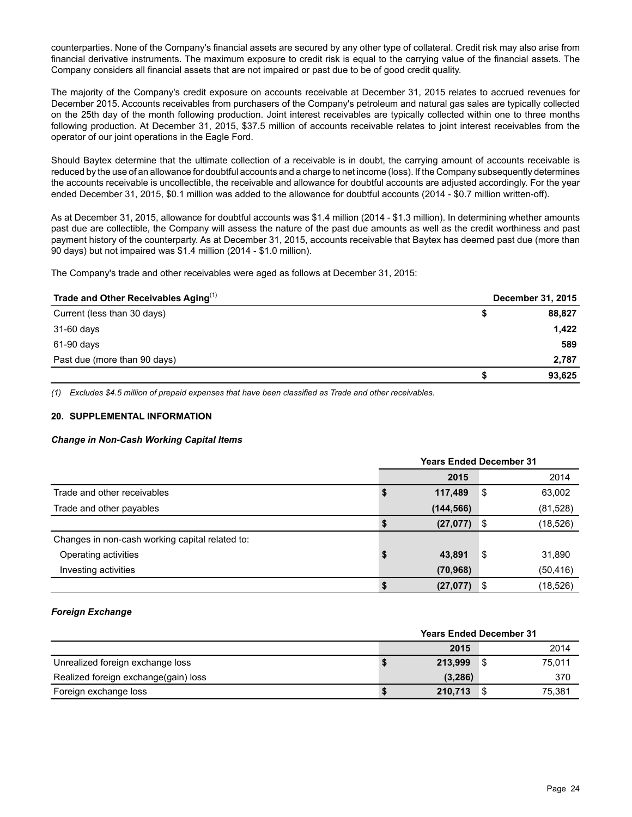counterparties. None of the Company's financial assets are secured by any other type of collateral. Credit risk may also arise from financial derivative instruments. The maximum exposure to credit risk is equal to the carrying value of the financial assets. The Company considers all financial assets that are not impaired or past due to be of good credit quality.

The majority of the Company's credit exposure on accounts receivable at December 31, 2015 relates to accrued revenues for December 2015. Accounts receivables from purchasers of the Company's petroleum and natural gas sales are typically collected on the 25th day of the month following production. Joint interest receivables are typically collected within one to three months following production. At December 31, 2015, \$37.5 million of accounts receivable relates to joint interest receivables from the operator of our joint operations in the Eagle Ford.

Should Baytex determine that the ultimate collection of a receivable is in doubt, the carrying amount of accounts receivable is reduced by the use of an allowance for doubtful accounts and a charge to net income (loss). If the Company subsequently determines the accounts receivable is uncollectible, the receivable and allowance for doubtful accounts are adjusted accordingly. For the year ended December 31, 2015, \$0.1 million was added to the allowance for doubtful accounts (2014 - \$0.7 million written-off).

As at December 31, 2015, allowance for doubtful accounts was \$1.4 million (2014 - \$1.3 million). In determining whether amounts past due are collectible, the Company will assess the nature of the past due amounts as well as the credit worthiness and past payment history of the counterparty. As at December 31, 2015, accounts receivable that Baytex has deemed past due (more than 90 days) but not impaired was \$1.4 million (2014 - \$1.0 million).

The Company's trade and other receivables were aged as follows at December 31, 2015:

| Trade and Other Receivables Aging <sup>(1)</sup> | <b>December 31, 2015</b> |
|--------------------------------------------------|--------------------------|
| Current (less than 30 days)                      | 88,827                   |
| 31-60 days                                       | 1,422                    |
| 61-90 days                                       | 589                      |
| Past due (more than 90 days)                     | 2,787                    |
|                                                  | 93,625                   |

*(1) Excludes \$4.5 million of prepaid expenses that have been classified as Trade and other receivables.*

### **20. SUPPLEMENTAL INFORMATION**

### *Change in Non-Cash Working Capital Items*

|                                                 | <b>Years Ended December 31</b> |      |           |  |
|-------------------------------------------------|--------------------------------|------|-----------|--|
|                                                 | 2015                           |      | 2014      |  |
| Trade and other receivables                     | 117,489                        | \$   | 63,002    |  |
| Trade and other payables                        | (144, 566)                     |      | (81,528)  |  |
|                                                 | (27, 077)                      | -\$  | (18, 526) |  |
| Changes in non-cash working capital related to: |                                |      |           |  |
| Operating activities                            | 43,891                         | \$   | 31,890    |  |
| Investing activities                            | (70, 968)                      |      | (50, 416) |  |
|                                                 | (27, 077)                      | - \$ | (18, 526) |  |

### *Foreign Exchange*

|                                      | <b>Years Ended December 31</b> |         |  |        |  |  |
|--------------------------------------|--------------------------------|---------|--|--------|--|--|
|                                      |                                | 2015    |  | 2014   |  |  |
| Unrealized foreign exchange loss     |                                | 213,999 |  | 75.011 |  |  |
| Realized foreign exchange(gain) loss |                                | (3,286) |  | 370    |  |  |
| Foreign exchange loss                |                                | 210.713 |  | 75,381 |  |  |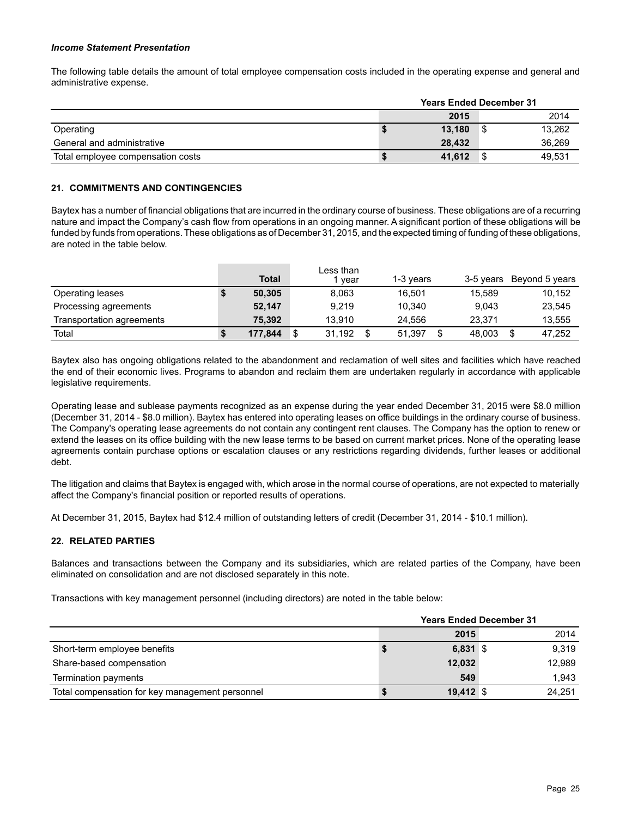### *Income Statement Presentation*

The following table details the amount of total employee compensation costs included in the operating expense and general and administrative expense.

|                                   | <b>Years Ended December 31</b> |        |  |        |  |  |
|-----------------------------------|--------------------------------|--------|--|--------|--|--|
|                                   |                                | 2015   |  | 2014   |  |  |
| Operating                         |                                | 13.180 |  | 13.262 |  |  |
| General and administrative        |                                | 28.432 |  | 36,269 |  |  |
| Total employee compensation costs |                                | 41.612 |  | 49,531 |  |  |

#### **21. COMMITMENTS AND CONTINGENCIES**

Baytex has a number of financial obligations that are incurred in the ordinary course of business. These obligations are of a recurring nature and impact the Company's cash flow from operations in an ongoing manner. A significant portion of these obligations will be funded by funds from operations. These obligations as of December 31, 2015, and the expected timing of funding of these obligations, are noted in the table below.

|                           | <b>Total</b> | Less than<br>vear | 1-3 vears | 3-5 years | Beyond 5 years |  |
|---------------------------|--------------|-------------------|-----------|-----------|----------------|--|
| Operating leases          | 50.305       | 8.063             | 16.501    | 15.589    | 10,152         |  |
| Processing agreements     | 52.147       | 9.219             | 10.340    | 9.043     | 23,545         |  |
| Transportation agreements | 75.392       | 13.910            | 24.556    | 23.371    | 13,555         |  |
| Total                     | 177.844      | 31.192            | 51.397    | 48,003    | 47,252         |  |

Baytex also has ongoing obligations related to the abandonment and reclamation of well sites and facilities which have reached the end of their economic lives. Programs to abandon and reclaim them are undertaken regularly in accordance with applicable legislative requirements.

Operating lease and sublease payments recognized as an expense during the year ended December 31, 2015 were \$8.0 million (December 31, 2014 - \$8.0 million). Baytex has entered into operating leases on office buildings in the ordinary course of business. The Company's operating lease agreements do not contain any contingent rent clauses. The Company has the option to renew or extend the leases on its office building with the new lease terms to be based on current market prices. None of the operating lease agreements contain purchase options or escalation clauses or any restrictions regarding dividends, further leases or additional debt.

The litigation and claims that Baytex is engaged with, which arose in the normal course of operations, are not expected to materially affect the Company's financial position or reported results of operations.

At December 31, 2015, Baytex had \$12.4 million of outstanding letters of credit (December 31, 2014 - \$10.1 million).

### **22. RELATED PARTIES**

Balances and transactions between the Company and its subsidiaries, which are related parties of the Company, have been eliminated on consolidation and are not disclosed separately in this note.

Transactions with key management personnel (including directors) are noted in the table below:

|                                                 | <b>Years Ended December 31</b> |        |  |
|-------------------------------------------------|--------------------------------|--------|--|
|                                                 | 2015                           | 2014   |  |
| Short-term employee benefits                    | $6,831$ \$                     | 9.319  |  |
| Share-based compensation                        | 12,032                         | 12,989 |  |
| Termination payments                            | 549                            | 1.943  |  |
| Total compensation for key management personnel | $19.412$ \$                    | 24.251 |  |